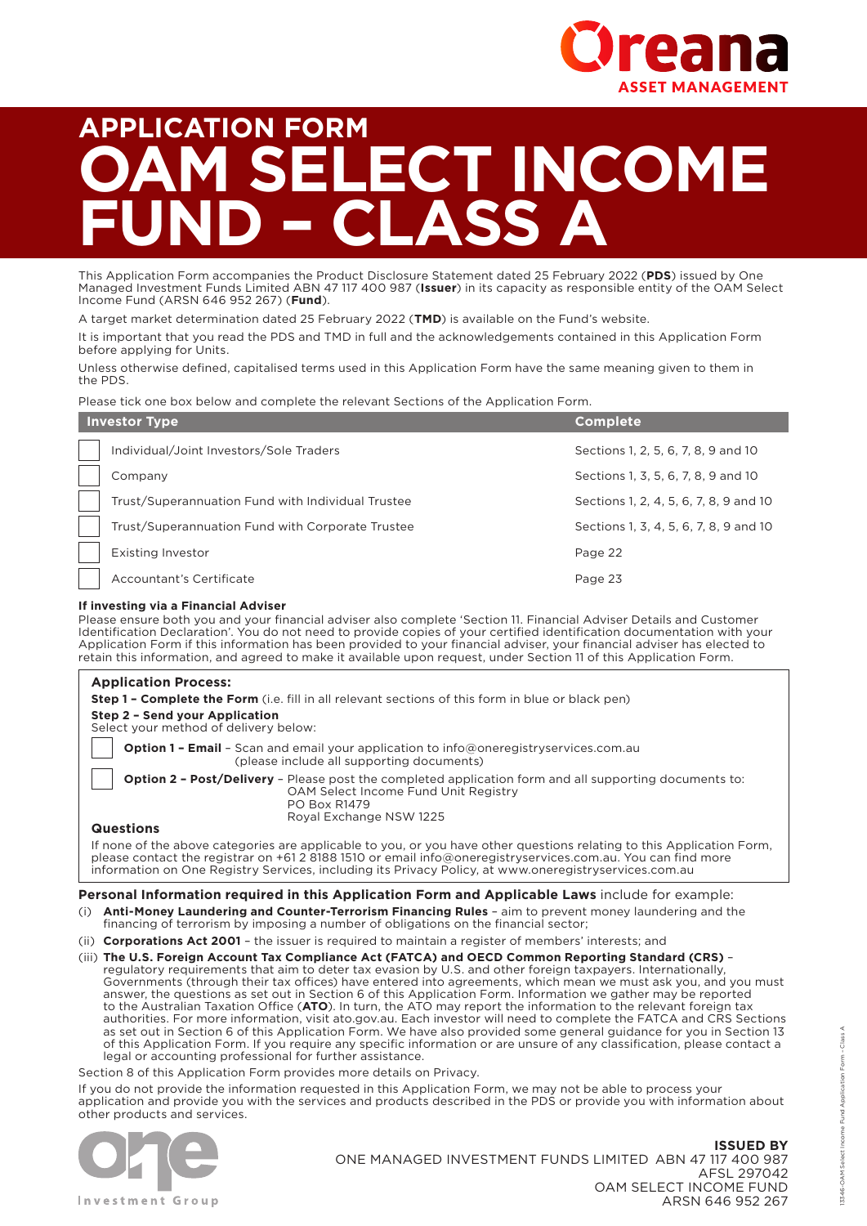

# **APPLICATION FORM ELECT INCOME**  $ASS$

This Application Form accompanies the Product Disclosure Statement dated 25 February 2022 (**PDS**) issued by One Managed Investment Funds Limited ABN 47 117 400 987 (**Issuer**) in its capacity as responsible entity of the OAM Select Income Fund (ARSN 646 952 267) (**Fund**).

A target market determination dated 25 February 2022 (**TMD**) is available on the Fund's website.

It is important that you read the PDS and TMD in full and the acknowledgements contained in this Application Form before applying for Units.

Unless otherwise defined, capitalised terms used in this Application Form have the same meaning given to them in the PDS.

Please tick one box below and complete the relevant Sections of the Application Form.

| <b>Investor Type</b> |                                                   | <b>Complete</b>                        |
|----------------------|---------------------------------------------------|----------------------------------------|
|                      | Individual/Joint Investors/Sole Traders           | Sections 1, 2, 5, 6, 7, 8, 9 and 10    |
|                      | Company                                           | Sections 1, 3, 5, 6, 7, 8, 9 and 10    |
|                      | Trust/Superannuation Fund with Individual Trustee | Sections 1, 2, 4, 5, 6, 7, 8, 9 and 10 |
|                      | Trust/Superannuation Fund with Corporate Trustee  | Sections 1, 3, 4, 5, 6, 7, 8, 9 and 10 |
|                      | <b>Existing Investor</b>                          | Page 22                                |
|                      | Accountant's Certificate                          | Page 23                                |

#### **If investing via a Financial Adviser**

Please ensure both you and your financial adviser also complete 'Section 11. Financial Adviser Details and Customer Identification Declaration'. You do not need to provide copies of your certified identification documentation with your Application Form if this information has been provided to your financial adviser, your financial adviser has elected to retain this information, and agreed to make it available upon request, under Section 11 of this Application Form.

| <b>Application Process:</b><br><b>Step 1 - Complete the Form</b> (i.e. fill in all relevant sections of this form in blue or black pen)<br><b>Step 2 - Send your Application</b><br>Select your method of delivery below:                                                                                                                     |
|-----------------------------------------------------------------------------------------------------------------------------------------------------------------------------------------------------------------------------------------------------------------------------------------------------------------------------------------------|
| <b>Option 1 - Email</b> - Scan and email your application to info@oneregistryservices.com.au<br>(please include all supporting documents)                                                                                                                                                                                                     |
| <b>Option 2 - Post/Delivery</b> - Please post the completed application form and all supporting documents to:<br>OAM Select Income Fund Unit Registry<br>PO Box R1479<br>Roval Exchange NSW 1225                                                                                                                                              |
| <b>Questions</b>                                                                                                                                                                                                                                                                                                                              |
| If none of the above categories are applicable to you, or you have other questions relating to this Application Form,<br>please contact the registrar on +61 2 8188 1510 or email info@oneregistryservices.com.au. You can find more<br>information on One Registry Services, including its Privacy Policy, at www.oneregistryservices.com.au |

#### **Personal Information required in this Application Form and Applicable Laws** include for example:

- (i) **Anti-Money Laundering and Counter-Terrorism Financing Rules** aim to prevent money laundering and the financing of terrorism by imposing a number of obligations on the financial sector;
- (ii) **Corporations Act 2001** the issuer is required to maintain a register of members' interests; and
- (iii) **The U.S. Foreign Account Tax Compliance Act (FATCA) and OECD Common Reporting Standard (CRS)** regulatory requirements that aim to deter tax evasion by U.S. and other foreign taxpayers. Internationally, Governments (through their tax offices) have entered into agreements, which mean we must ask you, and you must answer, the questions as set out in Section 6 of this Application Form. Information we gather may be reported to the Australian Taxation Office (**ATO**). In turn, the ATO may report the information to the relevant foreign tax authorities. For more information, visit [ato.gov.au](http://ato.gov.au). Each investor will need to complete the FATCA and CRS Sections as set out in Section 6 of this Application Form. We have also provided some general guidance for you in Section 13 of this Application Form. If you require any specific information or are unsure of any classification, please contact a legal or accounting professional for further assistance.

Section 8 of this Application Form provides more details on Privacy.

If you do not provide the information requested in this Application Form, we may not be able to process your application and provide you with the services and products described in the PDS or provide you with information about other products and services.



**ISSUED BY** ONE MANAGED INVESTMENT FUNDS LIMITED ABN 47 117 400 987 AFSL 297042 OAM SELECT INCOME FUND ARSN 646 952 267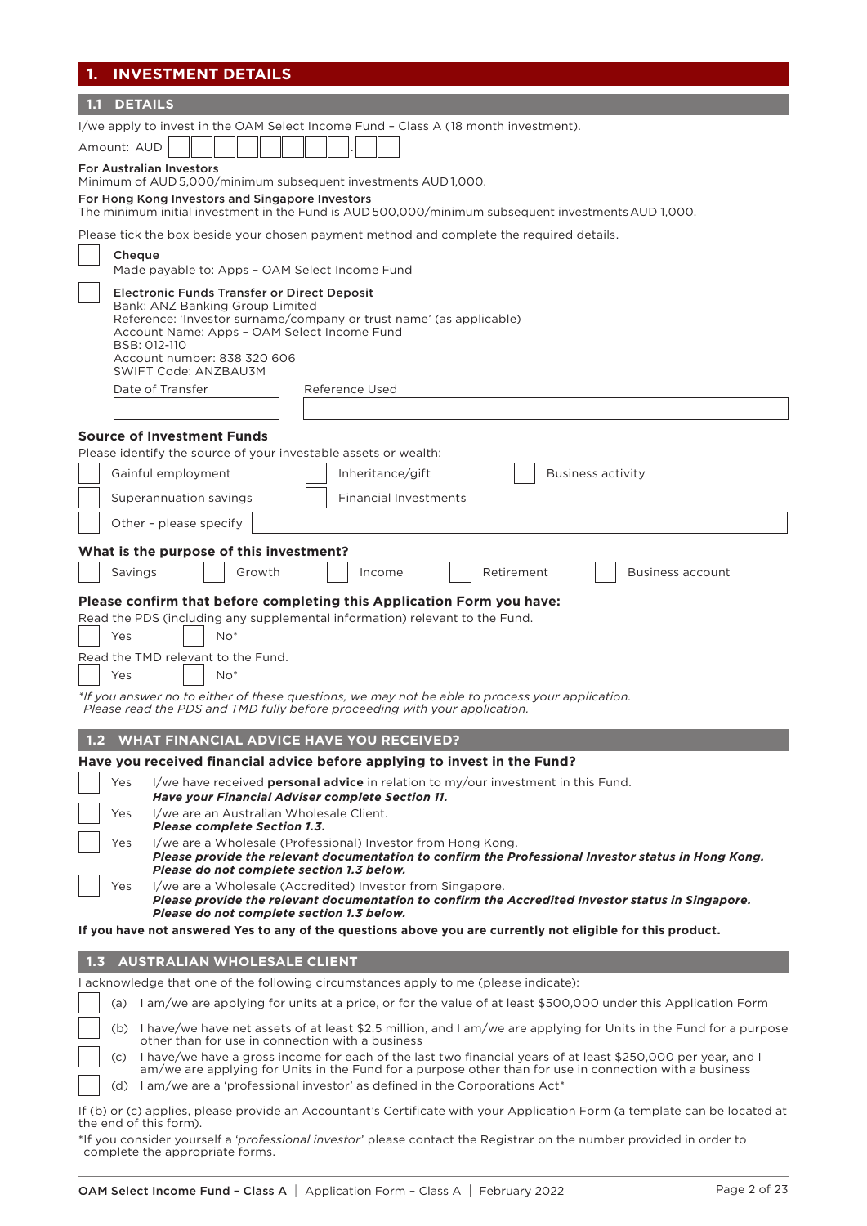| <b>INVESTMENT DETAILS</b><br>1.                                                                                                                                                                                                                                                                                               |
|-------------------------------------------------------------------------------------------------------------------------------------------------------------------------------------------------------------------------------------------------------------------------------------------------------------------------------|
| <b>DETAILS</b><br>1.1                                                                                                                                                                                                                                                                                                         |
| I/we apply to invest in the OAM Select Income Fund - Class A (18 month investment).                                                                                                                                                                                                                                           |
| Amount: AUD                                                                                                                                                                                                                                                                                                                   |
| <b>For Australian Investors</b><br>Minimum of AUD 5,000/minimum subsequent investments AUD 1,000.                                                                                                                                                                                                                             |
| For Hong Kong Investors and Singapore Investors<br>The minimum initial investment in the Fund is AUD 500,000/minimum subsequent investments AUD 1,000.                                                                                                                                                                        |
| Please tick the box beside your chosen payment method and complete the required details.                                                                                                                                                                                                                                      |
| Cheque<br>Made payable to: Apps - OAM Select Income Fund                                                                                                                                                                                                                                                                      |
| <b>Electronic Funds Transfer or Direct Deposit</b><br>Bank: ANZ Banking Group Limited<br>Reference: 'Investor surname/company or trust name' (as applicable)<br>Account Name: Apps - OAM Select Income Fund<br>BSB: 012-110<br>Account number: 838 320 606<br><b>SWIFT Code: ANZBAU3M</b>                                     |
| Date of Transfer<br>Reference Used                                                                                                                                                                                                                                                                                            |
|                                                                                                                                                                                                                                                                                                                               |
| <b>Source of Investment Funds</b>                                                                                                                                                                                                                                                                                             |
| Please identify the source of your investable assets or wealth:                                                                                                                                                                                                                                                               |
| Gainful employment<br>Inheritance/gift<br><b>Business activity</b>                                                                                                                                                                                                                                                            |
| Superannuation savings<br><b>Financial Investments</b>                                                                                                                                                                                                                                                                        |
| Other - please specify                                                                                                                                                                                                                                                                                                        |
| What is the purpose of this investment?                                                                                                                                                                                                                                                                                       |
| Savings<br>Retirement<br>Growth<br>Income<br><b>Business account</b>                                                                                                                                                                                                                                                          |
| Please confirm that before completing this Application Form you have:<br>Read the PDS (including any supplemental information) relevant to the Fund.<br>$No*$<br>Yes<br>Read the TMD relevant to the Fund.<br>$No*$<br>Yes<br>*If you answer no to either of these questions, we may not be able to process your application. |
| Please read the PDS and TMD fully before proceeding with your application.                                                                                                                                                                                                                                                    |
| <b>WHAT FINANCIAL ADVICE HAVE YOU RECEIVED?</b><br>1.2                                                                                                                                                                                                                                                                        |
| Have you received financial advice before applying to invest in the Fund?                                                                                                                                                                                                                                                     |
| Yes<br>I/we have received <b>personal advice</b> in relation to my/our investment in this Fund.<br>Have your Financial Adviser complete Section 11.                                                                                                                                                                           |
| I/we are an Australian Wholesale Client.<br>Yes<br><b>Please complete Section 1.3.</b>                                                                                                                                                                                                                                        |
| I/we are a Wholesale (Professional) Investor from Hong Kong.<br>Yes<br>Please provide the relevant documentation to confirm the Professional Investor status in Hong Kong.                                                                                                                                                    |
| Please do not complete section 1.3 below.<br>I/we are a Wholesale (Accredited) Investor from Singapore.<br>Yes<br>Please provide the relevant documentation to confirm the Accredited Investor status in Singapore.                                                                                                           |
| Please do not complete section 1.3 below.<br>If you have not answered Yes to any of the questions above you are currently not eligible for this product.                                                                                                                                                                      |
|                                                                                                                                                                                                                                                                                                                               |
| <b>AUSTRALIAN WHOLESALE CLIENT</b><br>1, 3                                                                                                                                                                                                                                                                                    |
| I acknowledge that one of the following circumstances apply to me (please indicate):                                                                                                                                                                                                                                          |
| (a) I am/we are applying for units at a price, or for the value of at least \$500,000 under this Application Form                                                                                                                                                                                                             |
| (b) I have/we have net assets of at least \$2.5 million, and I am/we are applying for Units in the Fund for a purpose<br>other than for use in connection with a business                                                                                                                                                     |
| I have/we have a gross income for each of the last two financial years of at least \$250,000 per year, and I<br>(C)<br>am/we are applying for Units in the Fund for a purpose other than for use in connection with a business                                                                                                |
| I am/we are a 'professional investor' as defined in the Corporations Act*<br>(d)                                                                                                                                                                                                                                              |
| If (b) or (c) applies, please provide an Accountant's Certificate with your Application Form (a template can be located at<br>the end of this form).                                                                                                                                                                          |

\*If you consider yourself a '*professional investor*' please contact the Registrar on the number provided in order to complete the appropriate forms.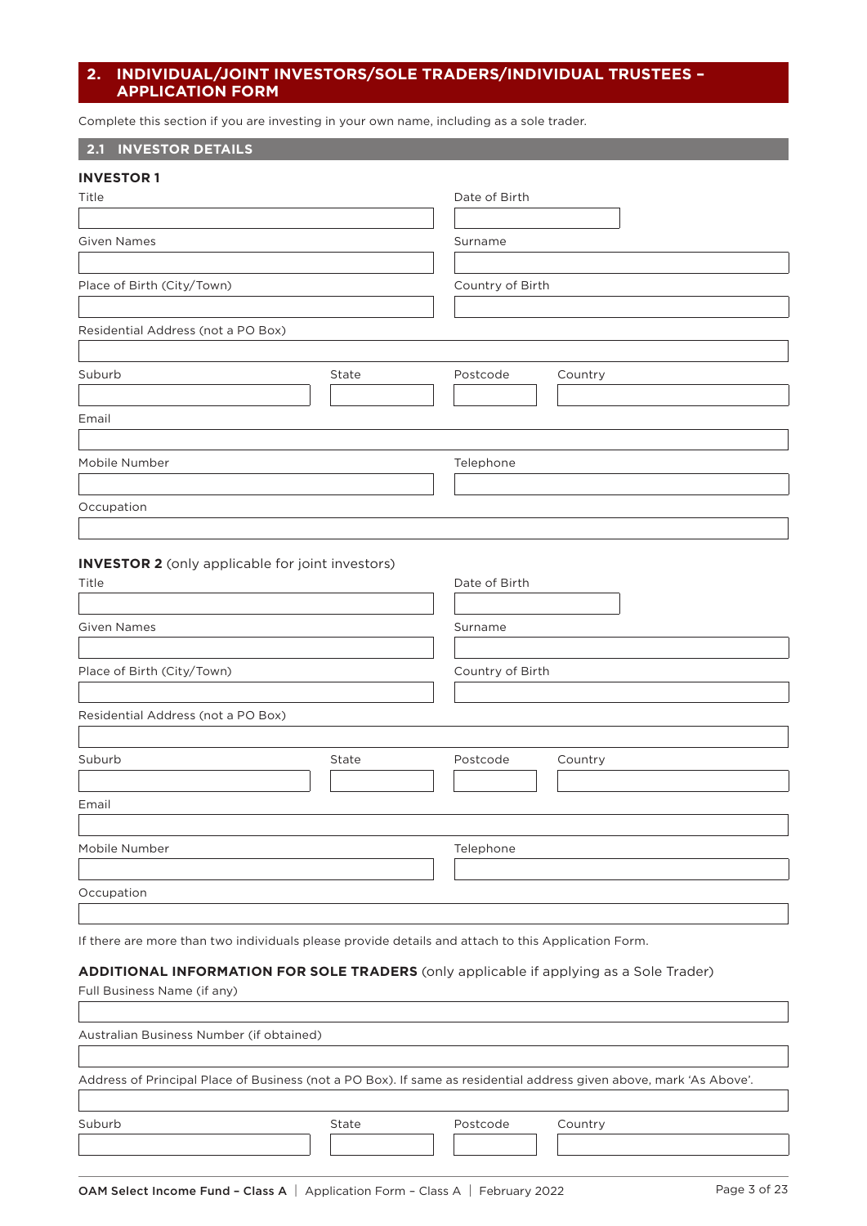# **2. INDIVIDUAL/JOINT INVESTORS/SOLE TRADERS/INDIVIDUAL TRUSTEES – APPLICATION FORM**

Complete this section if you are investing in your own name, including as a sole trader.

# **2.1 INVESTOR DETAILS**

| <b>INVESTOR 1</b>                  |       |                  |         |  |
|------------------------------------|-------|------------------|---------|--|
| Title                              |       | Date of Birth    |         |  |
| <b>Given Names</b>                 |       | Surname          |         |  |
|                                    |       |                  |         |  |
| Place of Birth (City/Town)         |       | Country of Birth |         |  |
| Residential Address (not a PO Box) |       |                  |         |  |
| Suburb                             | State | Postcode         | Country |  |
| Email                              |       |                  |         |  |
| Mobile Number                      |       | Telephone        |         |  |
|                                    |       |                  |         |  |
| Occupation                         |       |                  |         |  |

## **INVESTOR 2** (only applicable for joint investors)

| Title                              |       | Date of Birth    |         |
|------------------------------------|-------|------------------|---------|
|                                    |       |                  |         |
| <b>Given Names</b>                 |       | Surname          |         |
|                                    |       |                  |         |
| Place of Birth (City/Town)         |       | Country of Birth |         |
|                                    |       |                  |         |
| Residential Address (not a PO Box) |       |                  |         |
|                                    |       |                  |         |
| Suburb                             | State | Postcode         | Country |
|                                    |       |                  |         |
| Email                              |       |                  |         |
|                                    |       |                  |         |
| Mobile Number                      |       | Telephone        |         |
|                                    |       |                  |         |
| Occupation                         |       |                  |         |
|                                    |       |                  |         |

If there are more than two individuals please provide details and attach to this Application Form.

# **ADDITIONAL INFORMATION FOR SOLE TRADERS** (only applicable if applying as a Sole Trader)

| Full Business Name (if any)              |                                                                                                                     |          |         |  |
|------------------------------------------|---------------------------------------------------------------------------------------------------------------------|----------|---------|--|
|                                          |                                                                                                                     |          |         |  |
| Australian Business Number (if obtained) |                                                                                                                     |          |         |  |
|                                          |                                                                                                                     |          |         |  |
|                                          | Address of Principal Place of Business (not a PO Box). If same as residential address given above, mark 'As Above'. |          |         |  |
|                                          |                                                                                                                     |          |         |  |
| Suburb                                   | State                                                                                                               | Postcode | Country |  |
|                                          |                                                                                                                     |          |         |  |
|                                          |                                                                                                                     |          |         |  |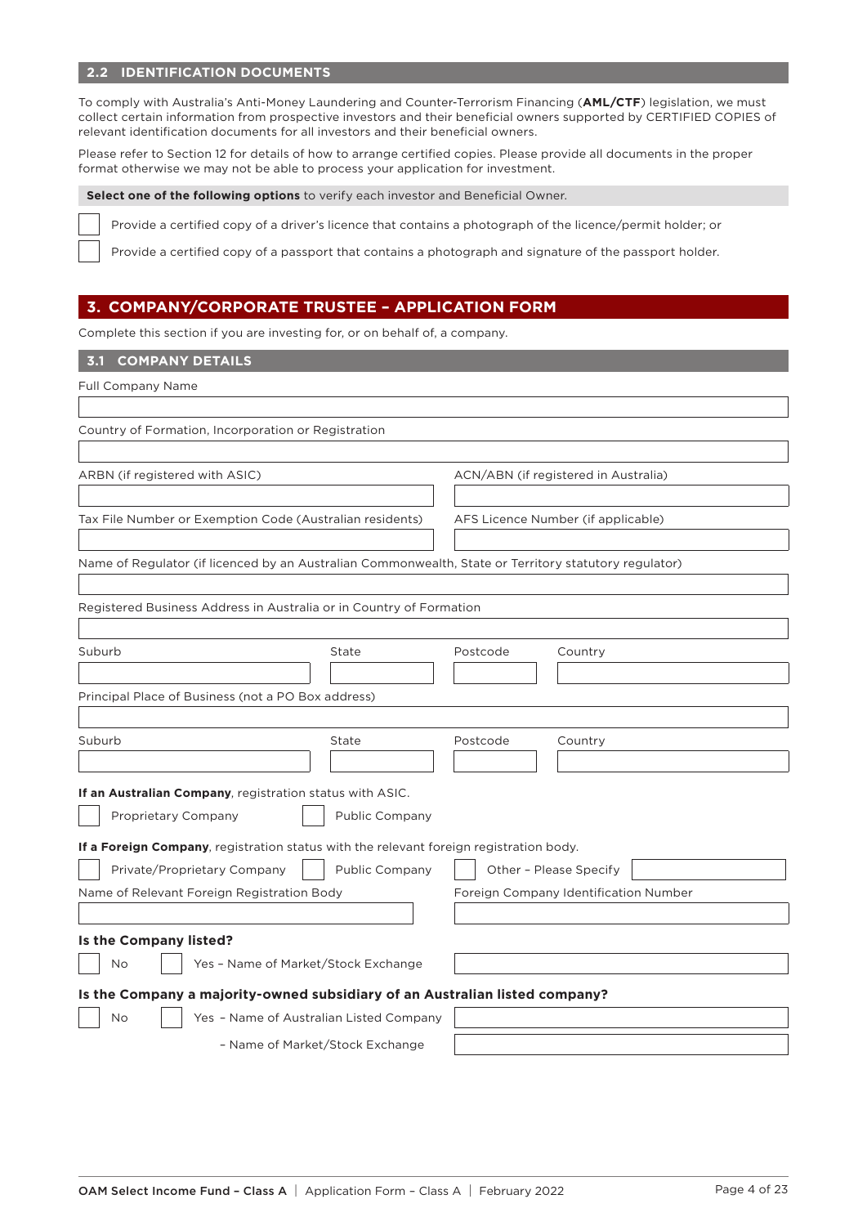# **2.2 IDENTIFICATION DOCUMENTS**

To comply with Australia's Anti-Money Laundering and Counter-Terrorism Financing (**AML/CTF**) legislation, we must collect certain information from prospective investors and their beneficial owners supported by CERTIFIED COPIES of relevant identification documents for all investors and their beneficial owners.

Please refer to Section 12 for details of how to arrange certified copies. Please provide all documents in the proper format otherwise we may not be able to process your application for investment.

**Select one of the following options** to verify each investor and Beneficial Owner.

Provide a certified copy of a driver's licence that contains a photograph of the licence/permit holder; or

Provide a certified copy of a passport that contains a photograph and signature of the passport holder.

# **3. COMPANY/CORPORATE TRUSTEE – APPLICATION FORM**

Complete this section if you are investing for, or on behalf of, a company.

# **3.1 COMPANY DETAILS**

| Full Company Name                                                                      |                                         |                                                                                                       |  |
|----------------------------------------------------------------------------------------|-----------------------------------------|-------------------------------------------------------------------------------------------------------|--|
|                                                                                        |                                         |                                                                                                       |  |
| Country of Formation, Incorporation or Registration                                    |                                         |                                                                                                       |  |
|                                                                                        |                                         |                                                                                                       |  |
| ARBN (if registered with ASIC)                                                         |                                         | ACN/ABN (if registered in Australia)                                                                  |  |
|                                                                                        |                                         |                                                                                                       |  |
| Tax File Number or Exemption Code (Australian residents)                               |                                         | AFS Licence Number (if applicable)                                                                    |  |
|                                                                                        |                                         |                                                                                                       |  |
|                                                                                        |                                         | Name of Regulator (if licenced by an Australian Commonwealth, State or Territory statutory regulator) |  |
|                                                                                        |                                         |                                                                                                       |  |
| Registered Business Address in Australia or in Country of Formation                    |                                         |                                                                                                       |  |
|                                                                                        |                                         |                                                                                                       |  |
| Suburb                                                                                 | State                                   | Postcode<br>Country                                                                                   |  |
|                                                                                        |                                         |                                                                                                       |  |
| Principal Place of Business (not a PO Box address)                                     |                                         |                                                                                                       |  |
|                                                                                        |                                         |                                                                                                       |  |
| Suburb                                                                                 | State                                   | Postcode<br>Country                                                                                   |  |
|                                                                                        |                                         |                                                                                                       |  |
| If an Australian Company, registration status with ASIC.                               |                                         |                                                                                                       |  |
|                                                                                        |                                         |                                                                                                       |  |
| Public Company<br>Proprietary Company                                                  |                                         |                                                                                                       |  |
| If a Foreign Company, registration status with the relevant foreign registration body. |                                         |                                                                                                       |  |
| Private/Proprietary Company                                                            | Public Company                          | Other - Please Specify                                                                                |  |
| Name of Relevant Foreign Registration Body                                             |                                         | Foreign Company Identification Number                                                                 |  |
|                                                                                        |                                         |                                                                                                       |  |
| Is the Company listed?                                                                 |                                         |                                                                                                       |  |
| Yes - Name of Market/Stock Exchange<br>No                                              |                                         |                                                                                                       |  |
| Is the Company a majority-owned subsidiary of an Australian listed company?            |                                         |                                                                                                       |  |
|                                                                                        | Yes - Name of Australian Listed Company |                                                                                                       |  |
| No                                                                                     |                                         |                                                                                                       |  |
|                                                                                        | - Name of Market/Stock Exchange         |                                                                                                       |  |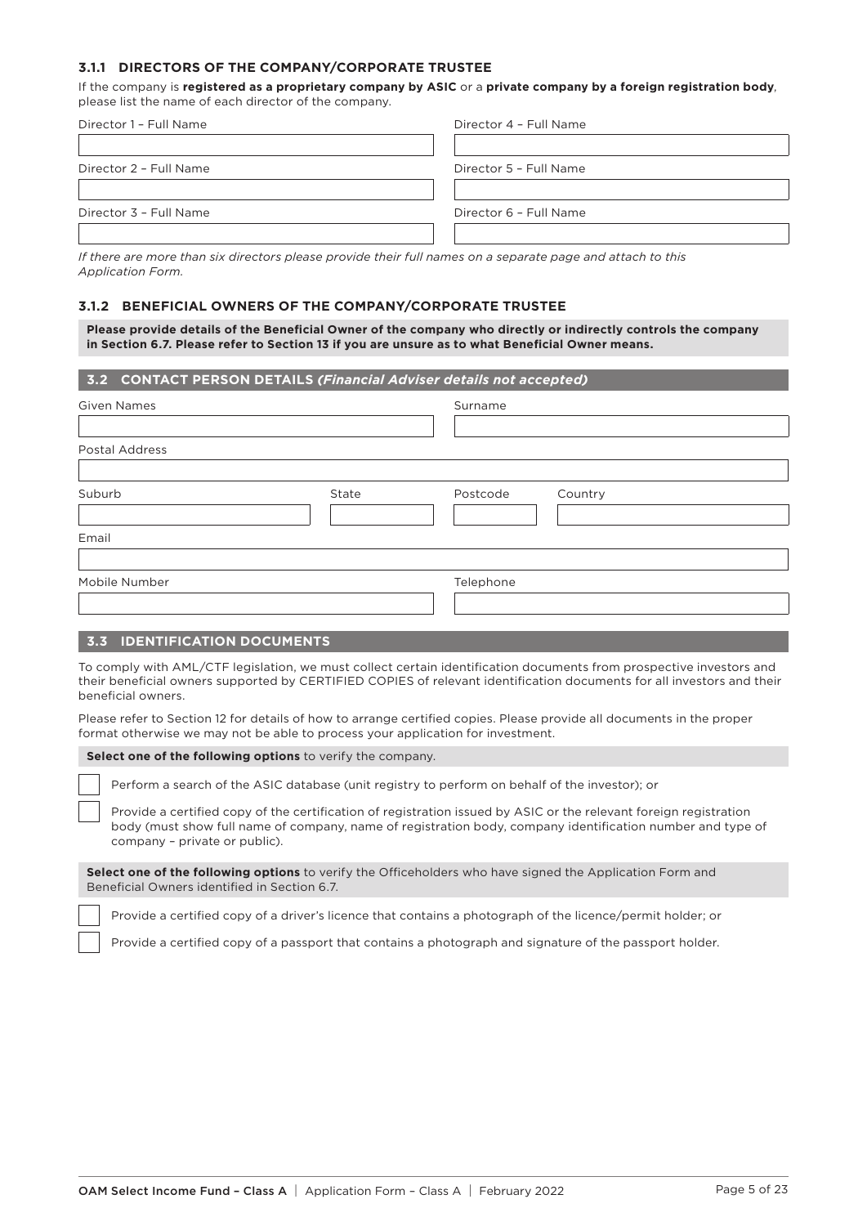# **3.1.1 DIRECTORS OF THE COMPANY/CORPORATE TRUSTEE**

If the company is **registered as a proprietary company by ASIC** or a **private company by a foreign registration body**, please list the name of each director of the company.

| Director 1 - Full Name | Director 4 - Full Name |
|------------------------|------------------------|
|                        |                        |
| Director 2 - Full Name | Director 5 - Full Name |
|                        |                        |
| Director 3 - Full Name | Director 6 - Full Name |
|                        |                        |

*If there are more than six directors please provide their full names on a separate page and attach to this Application Form.*

## **3.1.2 BENEFICIAL OWNERS OF THE COMPANY/CORPORATE TRUSTEE**

**Please provide details of the Beneficial Owner of the company who directly or indirectly controls the company in Section 6.7. Please refer to Section 13 if you are unsure as to what Beneficial Owner means.**

| 3.2 CONTACT PERSON DETAILS (Financial Adviser details not accepted) |       |           |         |
|---------------------------------------------------------------------|-------|-----------|---------|
| <b>Given Names</b>                                                  |       | Surname   |         |
|                                                                     |       |           |         |
| Postal Address                                                      |       |           |         |
|                                                                     |       |           |         |
| Suburb                                                              | State | Postcode  | Country |
|                                                                     |       |           |         |
| Email                                                               |       |           |         |
|                                                                     |       |           |         |
| Mobile Number                                                       |       | Telephone |         |
|                                                                     |       |           |         |
|                                                                     |       |           |         |

#### **3.3 IDENTIFICATION DOCUMENTS**

To comply with AML/CTF legislation, we must collect certain identification documents from prospective investors and their beneficial owners supported by CERTIFIED COPIES of relevant identification documents for all investors and their beneficial owners.

Please refer to Section 12 for details of how to arrange certified copies. Please provide all documents in the proper format otherwise we may not be able to process your application for investment.

#### **Select one of the following options** to verify the company.

Perform a search of the ASIC database (unit registry to perform on behalf of the investor); or

Provide a certified copy of the certification of registration issued by ASIC or the relevant foreign registration body (must show full name of company, name of registration body, company identification number and type of company – private or public).

**Select one of the following options** to verify the Officeholders who have signed the Application Form and Beneficial Owners identified in Section 6.7.

Provide a certified copy of a driver's licence that contains a photograph of the licence/permit holder; or

Provide a certified copy of a passport that contains a photograph and signature of the passport holder.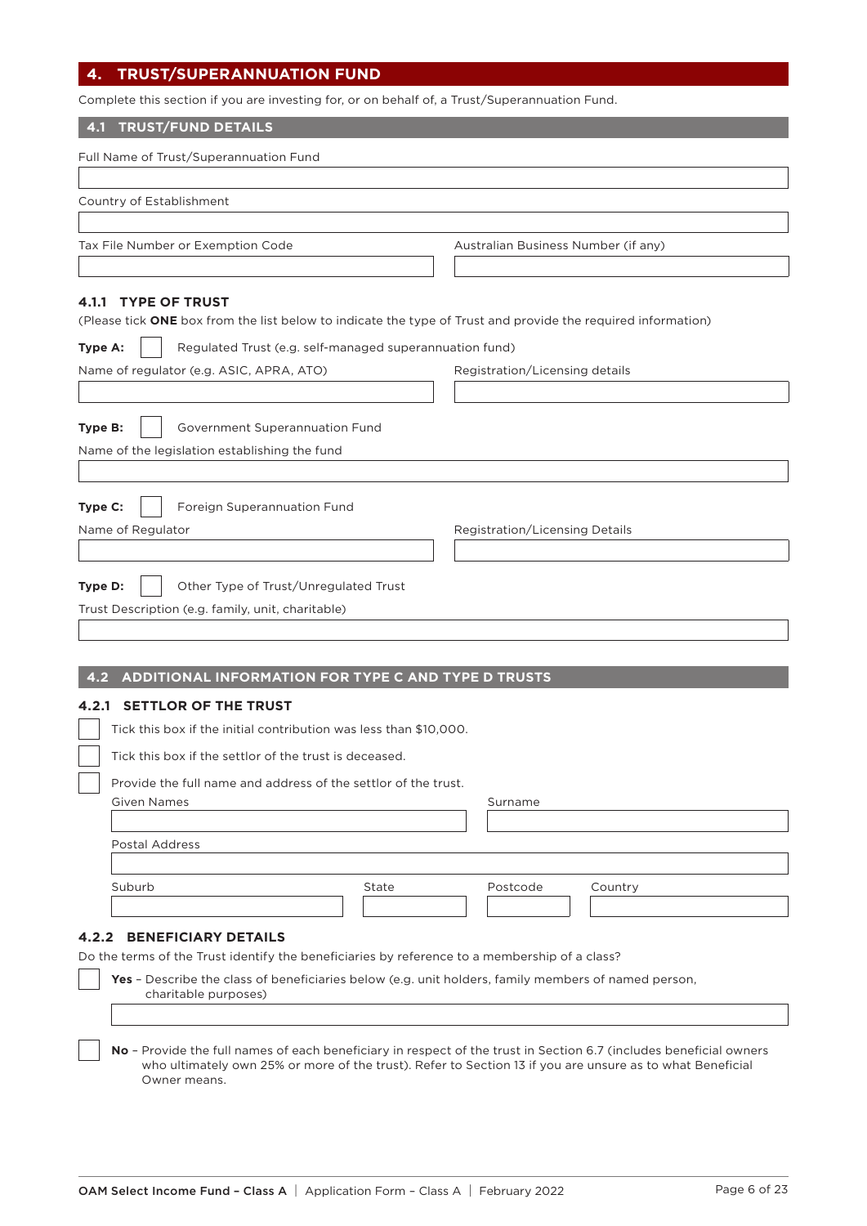# **4. TRUST/SUPERANNUATION FUND**

Complete this section if you are investing for, or on behalf of, a Trust/Superannuation Fund.

## **4.1 TRUST/FUND DETAILS**

| Full Name of Trust/Superannuation Fund                                                                                                                                                                                                                                        |                                     |
|-------------------------------------------------------------------------------------------------------------------------------------------------------------------------------------------------------------------------------------------------------------------------------|-------------------------------------|
| Country of Establishment                                                                                                                                                                                                                                                      |                                     |
|                                                                                                                                                                                                                                                                               | Australian Business Number (if any) |
| Tax File Number or Exemption Code                                                                                                                                                                                                                                             |                                     |
| 4.1.1 TYPE OF TRUST<br>(Please tick ONE box from the list below to indicate the type of Trust and provide the required information)<br>Regulated Trust (e.g. self-managed superannuation fund)<br>Type A:<br>Name of regulator (e.g. ASIC, APRA, ATO)                         | Registration/Licensing details      |
|                                                                                                                                                                                                                                                                               |                                     |
| Government Superannuation Fund<br>Type B:<br>Name of the legislation establishing the fund                                                                                                                                                                                    |                                     |
| Foreign Superannuation Fund<br>Type C:<br>Name of Regulator                                                                                                                                                                                                                   | Registration/Licensing Details      |
| Type D:<br>Other Type of Trust/Unregulated Trust<br>Trust Description (e.g. family, unit, charitable)                                                                                                                                                                         |                                     |
| ADDITIONAL INFORMATION FOR TYPE C AND TYPE D TRUSTS<br>4.2                                                                                                                                                                                                                    |                                     |
| <b>SETTLOR OF THE TRUST</b><br>4.2.1<br>Tick this box if the initial contribution was less than \$10,000.<br>Tick this box if the settlor of the trust is deceased.<br>Provide the full name and address of the settlor of the trust.<br><b>Given Names</b><br>Postal Address | Surname                             |
| Suburb<br>State                                                                                                                                                                                                                                                               | Postcode<br>Country                 |
| <b>4.2.2 BENEFICIARY DETAILS</b><br>Do the terms of the Trust identify the beneficiaries by reference to a membership of a class?<br>Yes - Describe the class of beneficiaries below (e.g. unit holders, family members of named person,<br>charitable purposes)              |                                     |
|                                                                                                                                                                                                                                                                               |                                     |

**No** – Provide the full names of each beneficiary in respect of the trust in Section 6.7 (includes beneficial owners who ultimately own 25% or more of the trust). Refer to Section 13 if you are unsure as to what Beneficial Owner means.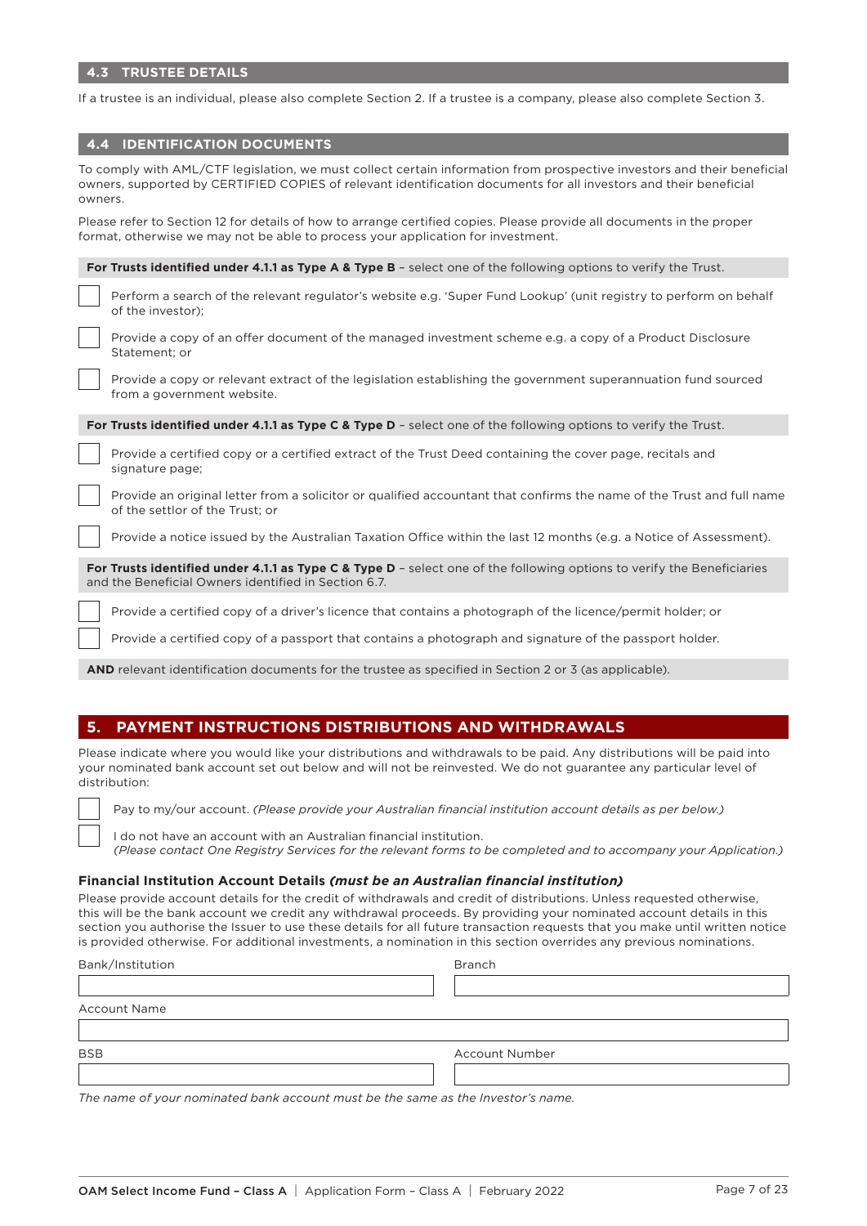If a trustee is an individual, please also complete Section 2. If a trustee is a company, please also complete Section 3.

| <b>4.4 IDENTIFICATION DOCUMENTS</b> |
|-------------------------------------|
|                                     |

| To comply with AML/CTF legislation, we must collect certain information from prospective investors and their beneficial<br>owners, supported by CERTIFIED COPIES of relevant identification documents for all investors and their beneficial<br>owners. |  |  |  |
|---------------------------------------------------------------------------------------------------------------------------------------------------------------------------------------------------------------------------------------------------------|--|--|--|
| Please refer to Section 12 for details of how to arrange certified copies. Please provide all documents in the proper<br>format, otherwise we may not be able to process your application for investment.                                               |  |  |  |
| For Trusts identified under 4.1.1 as Type A & Type B - select one of the following options to verify the Trust.                                                                                                                                         |  |  |  |
| Perform a search of the relevant regulator's website e.g. 'Super Fund Lookup' (unit registry to perform on behalf<br>of the investor);                                                                                                                  |  |  |  |
| Provide a copy of an offer document of the managed investment scheme e.g. a copy of a Product Disclosure<br>Statement; or                                                                                                                               |  |  |  |
| Provide a copy or relevant extract of the legislation establishing the government superannuation fund sourced<br>from a government website.                                                                                                             |  |  |  |
| For Trusts identified under 4.1.1 as Type C & Type D - select one of the following options to verify the Trust.                                                                                                                                         |  |  |  |
| Provide a certified copy or a certified extract of the Trust Deed containing the cover page, recitals and<br>signature page;                                                                                                                            |  |  |  |
| Provide an original letter from a solicitor or qualified accountant that confirms the name of the Trust and full name<br>of the settlor of the Trust; or                                                                                                |  |  |  |
| Provide a notice issued by the Australian Taxation Office within the last 12 months (e.g. a Notice of Assessment).                                                                                                                                      |  |  |  |
| For Trusts identified under 4.1.1 as Type C & Type D - select one of the following options to verify the Beneficiaries<br>and the Beneficial Owners identified in Section 6.7.                                                                          |  |  |  |
| Provide a certified copy of a driver's licence that contains a photograph of the licence/permit holder; or                                                                                                                                              |  |  |  |
| Provide a certified copy of a passport that contains a photograph and signature of the passport holder.                                                                                                                                                 |  |  |  |

**AND** relevant identification documents for the trustee as specified in Section 2 or 3 (as applicable).

# **5. PAYMENT INSTRUCTIONS DISTRIBUTIONS AND WITHDRAWALS**

Please indicate where you would like your distributions and withdrawals to be paid. Any distributions will be paid into your nominated bank account set out below and will not be reinvested. We do not guarantee any particular level of distribution:

Pay to my/our account. *(Please provide your Australian financial institution account details as per below.)*

I do not have an account with an Australian financial institution.

*(Please contact One Registry Services for the relevant forms to be completed and to accompany your Application.)*

#### **Financial Institution Account Details** *(must be an Australian financial institution)*

Please provide account details for the credit of withdrawals and credit of distributions. Unless requested otherwise, this will be the bank account we credit any withdrawal proceeds. By providing your nominated account details in this section you authorise the Issuer to use these details for all future transaction requests that you make until written notice is provided otherwise. For additional investments, a nomination in this section overrides any previous nominations.

| Bank/Institution    | <b>Branch</b>         |
|---------------------|-----------------------|
|                     |                       |
| <b>Account Name</b> |                       |
|                     |                       |
| <b>BSB</b>          | <b>Account Number</b> |
|                     |                       |

*The name of your nominated bank account must be the same as the Investor's name.*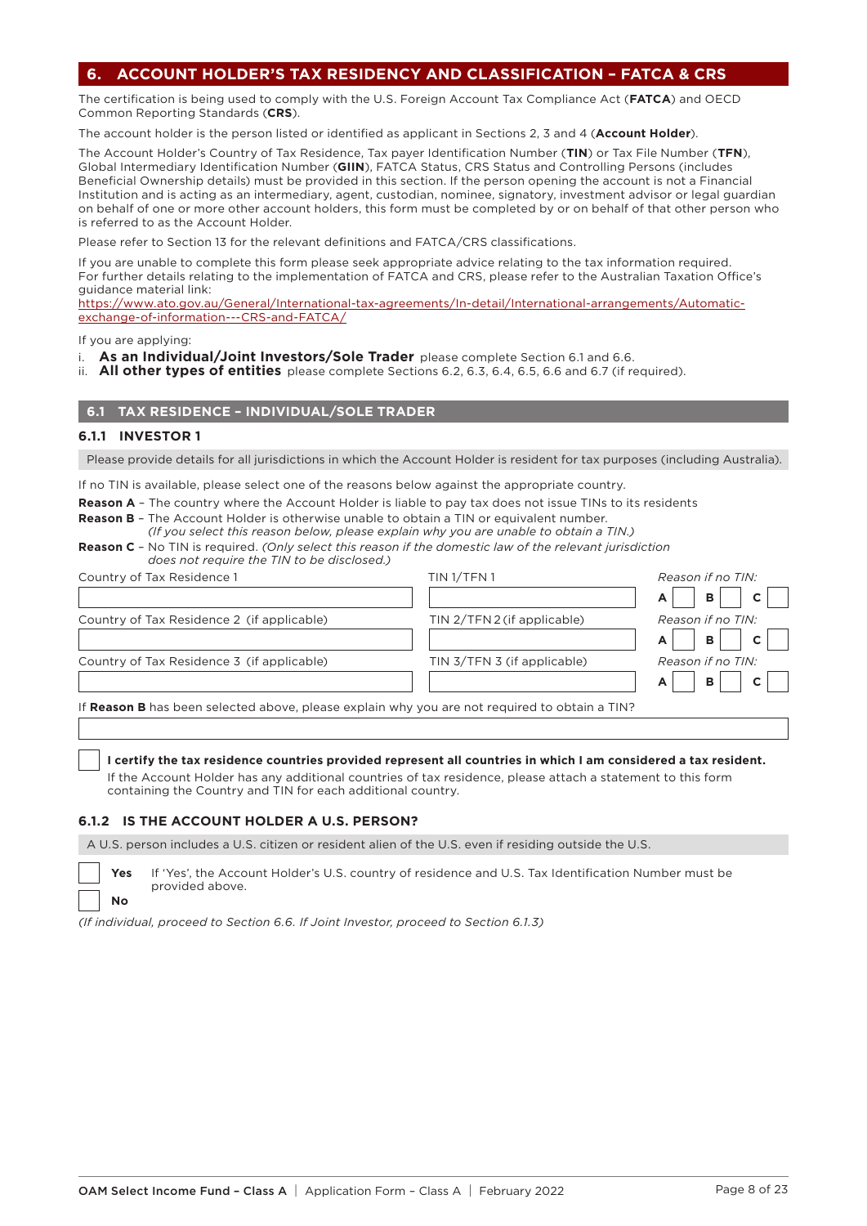# **6. ACCOUNT HOLDER'S TAX RESIDENCY AND CLASSIFICATION – FATCA & CRS**

The certification is being used to comply with the U.S. Foreign Account Tax Compliance Act (**FATCA**) and OECD Common Reporting Standards (**CRS**).

The account holder is the person listed or identified as applicant in Sections 2, 3 and 4 (**Account Holder**).

The Account Holder's Country of Tax Residence, Tax payer Identification Number (**TIN**) or Tax File Number (**TFN**), Global Intermediary Identification Number (**GIIN**), FATCA Status, CRS Status and Controlling Persons (includes Beneficial Ownership details) must be provided in this section. If the person opening the account is not a Financial Institution and is acting as an intermediary, agent, custodian, nominee, signatory, investment advisor or legal guardian on behalf of one or more other account holders, this form must be completed by or on behalf of that other person who is referred to as the Account Holder.

Please refer to Section 13 for the relevant definitions and FATCA/CRS classifications.

If you are unable to complete this form please seek appropriate advice relating to the tax information required. For further details relating to the implementation of FATCA and CRS, please refer to the Australian Taxation Office's guidance material link:

[https://www.ato.gov.au/General/International-tax-agreements/In-detail/International-arrangements/Automatic](https://www.ato.gov.au/General/International-tax-agreements/In-detail/International-arrangements/Automatic-exchange-of-information---CRS-and-FATCA/)[exchange-of-information---CRS-and-FATCA/](https://www.ato.gov.au/General/International-tax-agreements/In-detail/International-arrangements/Automatic-exchange-of-information---CRS-and-FATCA/)

If you are applying:

- i. **As an Individual/Joint Investors/Sole Trader** please complete Section 6.1 and 6.6.
- ii. **All other types of entities** please complete Sections 6.2, 6.3, 6.4, 6.5, 6.6 and 6.7 (if required).

# **6.1 TAX RESIDENCE – INDIVIDUAL/SOLE TRADER**

#### **6.1.1 INVESTOR 1**

**No**

Please provide details for all jurisdictions in which the Account Holder is resident for tax purposes (including Australia).

If no TIN is available, please select one of the reasons below against the appropriate country.

**Reason A** - The country where the Account Holder is liable to pay tax does not issue TINs to its residents

**Reason B** – The Account Holder is otherwise unable to obtain a TIN or equivalent number. *(If you select this reason below, please explain why you are unable to obtain a TIN.)*

| <b>Reason C</b> - No TIN is required. (Only select this reason if the domestic law of the relevant jurisdiction |  |  |  |
|-----------------------------------------------------------------------------------------------------------------|--|--|--|
| does not require the TIN to be disclosed.)                                                                      |  |  |  |

| Country of Tax Residence 1                                                                    | TIN 1/TFN 1                 | Reason if no TIN: |
|-----------------------------------------------------------------------------------------------|-----------------------------|-------------------|
|                                                                                               |                             | в                 |
| Country of Tax Residence 2 (if applicable)                                                    | TIN 2/TFN 2 (if applicable) | Reason if no TIN: |
|                                                                                               |                             | B<br>A            |
| Country of Tax Residence 3 (if applicable)                                                    | TIN 3/TFN 3 (if applicable) | Reason if no TIN: |
|                                                                                               |                             | в                 |
| If Reason B has been selected above, please explain why you are not required to obtain a TIN? |                             |                   |
|                                                                                               |                             |                   |

#### **I certify the tax residence countries provided represent all countries in which I am considered a tax resident.**

 If the Account Holder has any additional countries of tax residence, please attach a statement to this form containing the Country and TIN for each additional country.

#### **6.1.2 IS THE ACCOUNT HOLDER A U.S. PERSON?**

A U.S. person includes a U.S. citizen or resident alien of the U.S. even if residing outside the U.S.

**Yes** If 'Yes', the Account Holder's U.S. country of residence and U.S. Tax Identification Number must be provided above.

*(If individual, proceed to Section 6.6. If Joint Investor, proceed to Section 6.1.3)*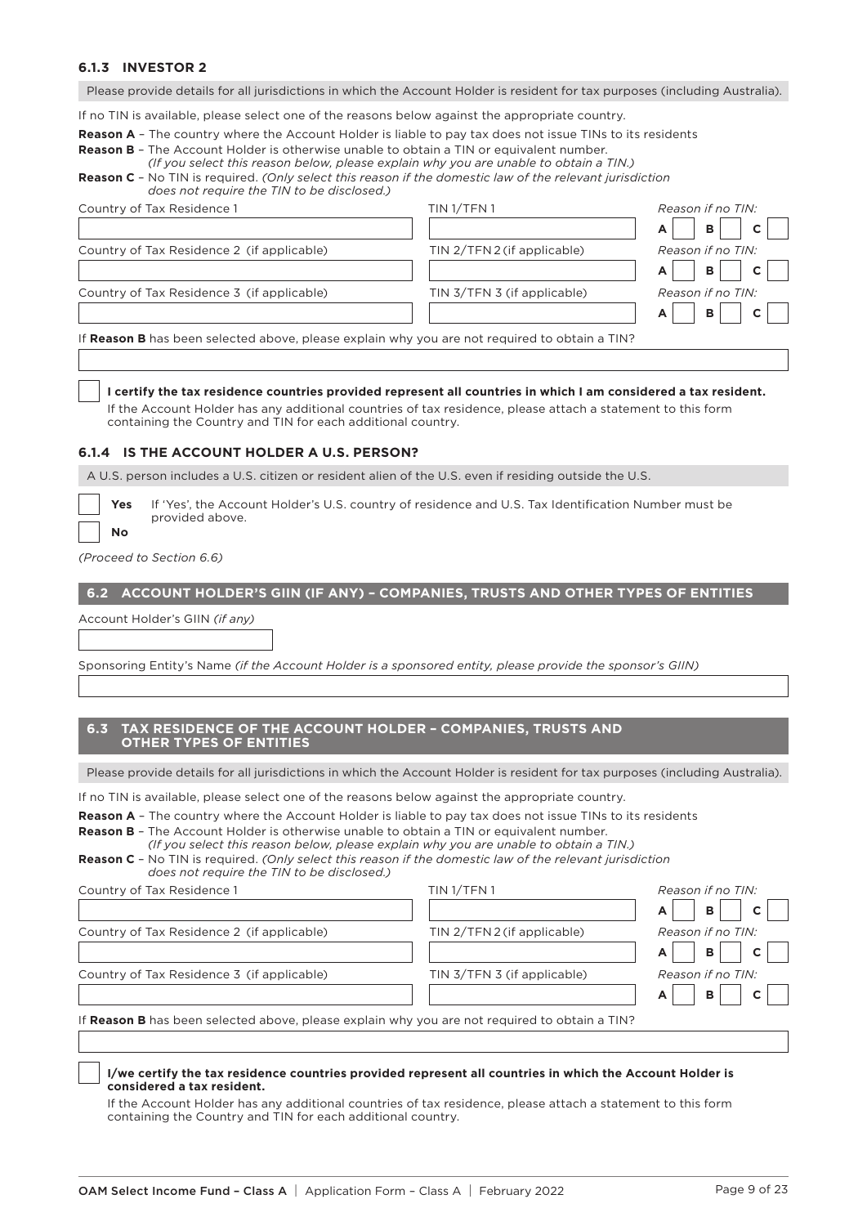# **6.1.3 INVESTOR 2**

Please provide details for all jurisdictions in which the Account Holder is resident for tax purposes (including Australia).

If no TIN is available, please select one of the reasons below against the appropriate country.

**Reason A** – The country where the Account Holder is liable to pay tax does not issue TINs to its residents

| <b>Reason B</b> - The Account Holder is otherwise unable to obtain a TIN or equivalent number. |
|------------------------------------------------------------------------------------------------|
| (If you select this reason below, please explain why you are unable to obtain a TIN.)          |

## **Reason C** – No TIN is required. *(Only select this reason if the domestic law of the relevant jurisdiction does not require the TIN to be disclosed.)*

| Country of Tax Residence 1                                                                    | TIN <sub>1/TFN1</sub>       | Reason if no TIN: |
|-----------------------------------------------------------------------------------------------|-----------------------------|-------------------|
|                                                                                               |                             | B<br>A            |
| Country of Tax Residence 2 (if applicable)                                                    | TIN 2/TFN 2 (if applicable) | Reason if no TIN: |
|                                                                                               |                             | B<br>A            |
| Country of Tax Residence 3 (if applicable)                                                    | TIN 3/TFN 3 (if applicable) | Reason if no TIN: |
|                                                                                               |                             | B                 |
| If Reason B has been selected above, please explain why you are not required to obtain a TIN? |                             |                   |
|                                                                                               |                             |                   |

#### **I certify the tax residence countries provided represent all countries in which I am considered a tax resident.**

 If the Account Holder has any additional countries of tax residence, please attach a statement to this form containing the Country and TIN for each additional country.

#### **6.1.4 IS THE ACCOUNT HOLDER A U.S. PERSON?**

A U.S. person includes a U.S. citizen or resident alien of the U.S. even if residing outside the U.S.

| Y۵     |
|--------|
| O<br>N |

**Yes** If 'Yes', the Account Holder's U.S. country of residence and U.S. Tax Identification Number must be provided above.

*(Proceed to Section 6.6)*

# **6.2 ACCOUNT HOLDER'S GIIN (IF ANY) – COMPANIES, TRUSTS AND OTHER TYPES OF ENTITIES**

Account Holder's GIIN *(if any)*

Sponsoring Entity's Name *(if the Account Holder is a sponsored entity, please provide the sponsor's GIIN)*

## **6.3 TAX RESIDENCE OF THE ACCOUNT HOLDER – COMPANIES, TRUSTS AND OTHER TYPES OF ENTITIES**

Please provide details for all jurisdictions in which the Account Holder is resident for tax purposes (including Australia).

If no TIN is available, please select one of the reasons below against the appropriate country.

**Reason A** – The country where the Account Holder is liable to pay tax does not issue TINs to its residents

**Reason B** – The Account Holder is otherwise unable to obtain a TIN or equivalent number. *(If you select this reason below, please explain why you are unable to obtain a TIN.)*

| ii iyo a qalade elliq i qaddii kodib ili joldadd diijalahii iliif foa al d'allakid eo dkealli a' liliif         |
|-----------------------------------------------------------------------------------------------------------------|
| <b>Reason C</b> - No TIN is required. (Only select this reason if the domestic law of the relevant jurisdiction |
| does not reauire the TIN to be disclosed.)                                                                      |

| Country of Tax Residence 1                                                                    | TIN <sub>1/TFN1</sub>       | Reason if no TIN:                 |
|-----------------------------------------------------------------------------------------------|-----------------------------|-----------------------------------|
|                                                                                               |                             | $\mathbf{B}$<br>$\mathbf{C}$<br>A |
| Country of Tax Residence 2 (if applicable)                                                    | TIN 2/TFN 2 (if applicable) | Reason if no TIN:                 |
|                                                                                               |                             | $\mathbf{B}$<br>$\mathbf{C}$      |
| Country of Tax Residence 3 (if applicable)                                                    | TIN 3/TFN 3 (if applicable) | Reason if no TIN:                 |
|                                                                                               |                             | B.<br>$\mathbf{C}$                |
| If Reason B has been selected above, please explain why you are not required to obtain a TIN? |                             |                                   |

#### **I/we certify the tax residence countries provided represent all countries in which the Account Holder is considered a tax resident.**

 If the Account Holder has any additional countries of tax residence, please attach a statement to this form containing the Country and TIN for each additional country.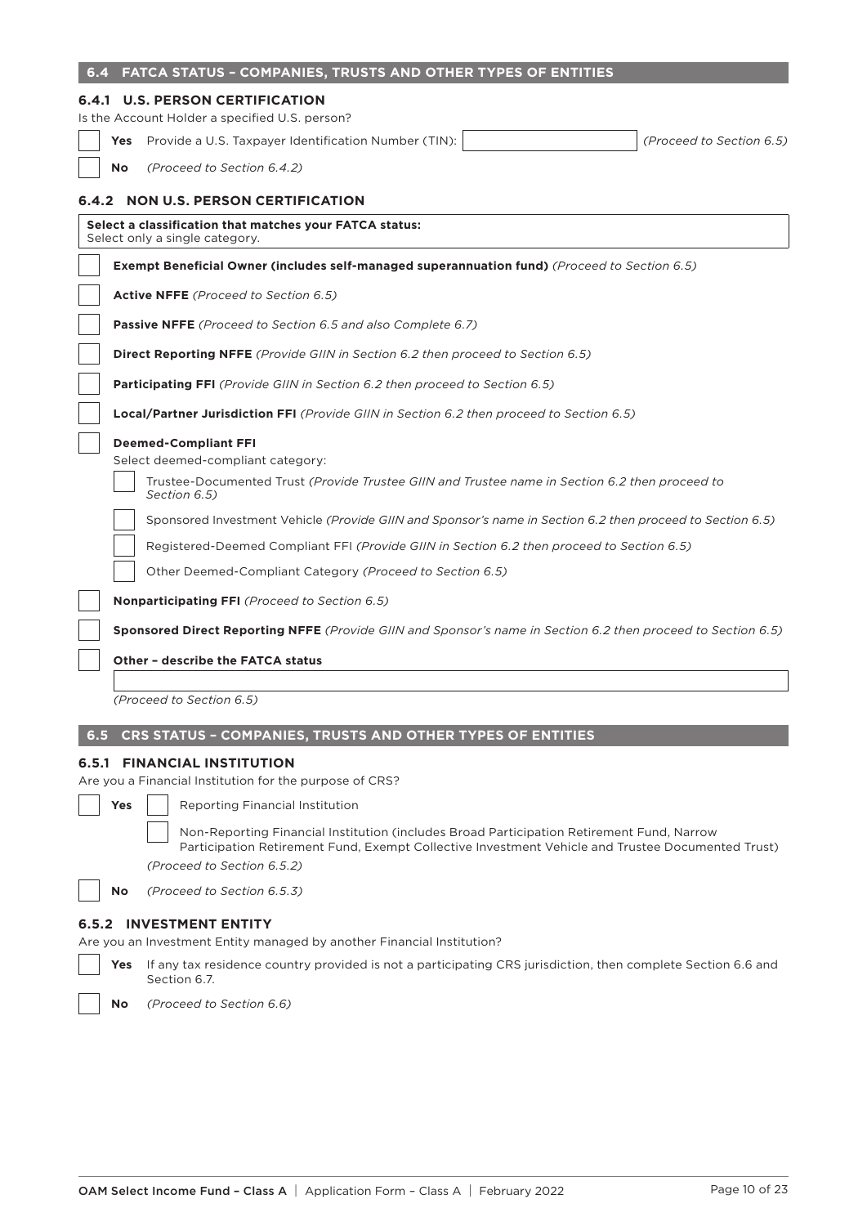| 6.4                               |                                                                                           | <b>FATCA STATUS - COMPANIES, TRUSTS AND OTHER TYPES OF ENTITIES</b>                                                                                                                                                          |                          |  |
|-----------------------------------|-------------------------------------------------------------------------------------------|------------------------------------------------------------------------------------------------------------------------------------------------------------------------------------------------------------------------------|--------------------------|--|
|                                   |                                                                                           | <b>6.4.1 U.S. PERSON CERTIFICATION</b>                                                                                                                                                                                       |                          |  |
|                                   |                                                                                           | Is the Account Holder a specified U.S. person?                                                                                                                                                                               |                          |  |
|                                   |                                                                                           | Yes Provide a U.S. Taxpayer Identification Number (TIN):                                                                                                                                                                     | (Proceed to Section 6.5) |  |
|                                   | <b>No</b>                                                                                 | (Proceed to Section 6.4.2)                                                                                                                                                                                                   |                          |  |
|                                   |                                                                                           | 6.4.2 NON U.S. PERSON CERTIFICATION                                                                                                                                                                                          |                          |  |
|                                   |                                                                                           | Select a classification that matches your FATCA status:<br>Select only a single category.                                                                                                                                    |                          |  |
|                                   |                                                                                           | <b>Exempt Beneficial Owner (includes self-managed superannuation fund)</b> (Proceed to Section 6.5)                                                                                                                          |                          |  |
|                                   |                                                                                           | <b>Active NFFE</b> (Proceed to Section 6.5)                                                                                                                                                                                  |                          |  |
|                                   |                                                                                           | Passive NFFE (Proceed to Section 6.5 and also Complete 6.7)                                                                                                                                                                  |                          |  |
|                                   |                                                                                           | <b>Direct Reporting NFFE</b> (Provide GIIN in Section 6.2 then proceed to Section 6.5)                                                                                                                                       |                          |  |
|                                   |                                                                                           | <b>Participating FFI</b> (Provide GIIN in Section 6.2 then proceed to Section 6.5)                                                                                                                                           |                          |  |
|                                   |                                                                                           | <b>Local/Partner Jurisdiction FFI</b> (Provide GIIN in Section 6.2 then proceed to Section 6.5)                                                                                                                              |                          |  |
|                                   |                                                                                           | <b>Deemed-Compliant FFI</b>                                                                                                                                                                                                  |                          |  |
|                                   |                                                                                           | Select deemed-compliant category:                                                                                                                                                                                            |                          |  |
|                                   |                                                                                           | Trustee-Documented Trust (Provide Trustee GIIN and Trustee name in Section 6.2 then proceed to<br>Section 6.5)                                                                                                               |                          |  |
|                                   |                                                                                           | (6.5) Sponsored Investment Vehicle (Provide GIIN and Sponsor's name in Section 6.2 then proceed to Section 6.5                                                                                                               |                          |  |
|                                   | Registered-Deemed Compliant FFI (Provide GIIN in Section 6.2 then proceed to Section 6.5) |                                                                                                                                                                                                                              |                          |  |
|                                   |                                                                                           | Other Deemed-Compliant Category (Proceed to Section 6.5)                                                                                                                                                                     |                          |  |
|                                   |                                                                                           | <b>Nonparticipating FFI</b> (Proceed to Section 6.5)                                                                                                                                                                         |                          |  |
|                                   |                                                                                           | <b>Sponsored Direct Reporting NFFE</b> (Provide GIIN and Sponsor's name in Section 6.2 then proceed to Section 6.5)                                                                                                          |                          |  |
|                                   |                                                                                           | <b>Other - describe the FATCA status</b>                                                                                                                                                                                     |                          |  |
|                                   |                                                                                           |                                                                                                                                                                                                                              |                          |  |
|                                   |                                                                                           | (Proceed to Section 6.5)                                                                                                                                                                                                     |                          |  |
| 6.5                               |                                                                                           | CRS STATUS - COMPANIES, TRUSTS AND OTHER TYPES OF ENTITIES                                                                                                                                                                   |                          |  |
|                                   |                                                                                           | <b>6.5.1 FINANCIAL INSTITUTION</b>                                                                                                                                                                                           |                          |  |
|                                   |                                                                                           | Are you a Financial Institution for the purpose of CRS?                                                                                                                                                                      |                          |  |
|                                   | Yes                                                                                       | <b>Reporting Financial Institution</b>                                                                                                                                                                                       |                          |  |
|                                   |                                                                                           | Non-Reporting Financial Institution (includes Broad Participation Retirement Fund, Narrow<br>Participation Retirement Fund, Exempt Collective Investment Vehicle and Trustee Documented Trust)<br>(Proceed to Section 6.5.2) |                          |  |
|                                   | <b>No</b>                                                                                 | (Proceed to Section 6.5.3)                                                                                                                                                                                                   |                          |  |
| <b>INVESTMENT ENTITY</b><br>6.5.2 |                                                                                           |                                                                                                                                                                                                                              |                          |  |
|                                   |                                                                                           | Are you an Investment Entity managed by another Financial Institution?                                                                                                                                                       |                          |  |
|                                   | Yes                                                                                       | If any tax residence country provided is not a participating CRS jurisdiction, then complete Section 6.6 and<br>Section 6.7.                                                                                                 |                          |  |
|                                   | No                                                                                        | (Proceed to Section 6.6)                                                                                                                                                                                                     |                          |  |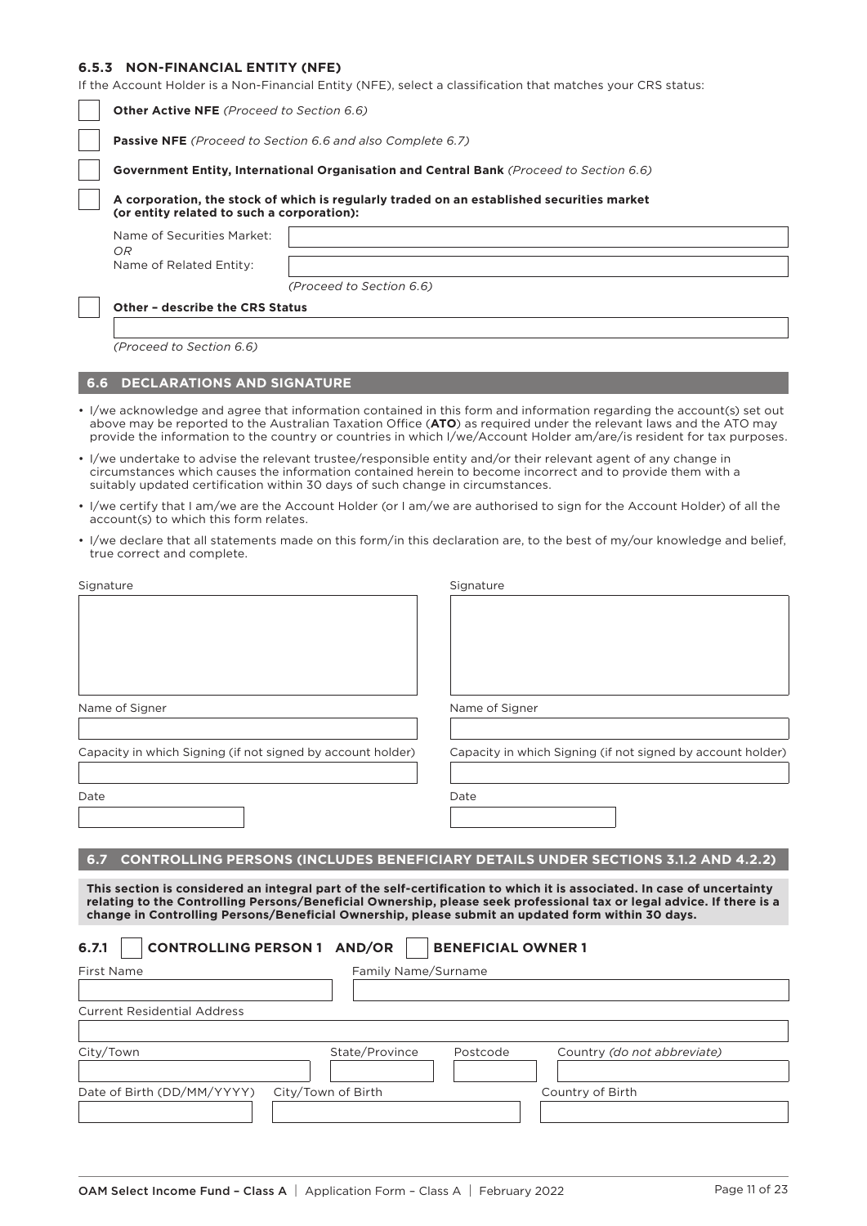# **6.5.3 NON-FINANCIAL ENTITY (NFE)**

**O.3.3 NUN-FINANCIAL ENIIIY (NFE)**<br>If the Account Holder is a Non-Financial Entity (NFE), select a classification that matches your CRS sta

|           |                                                                                                                                         |                          | If the Account Holder is a Non-Financial Entity (NFE), select a classification that matches your CRS status:                                                                                                                                                                                                                                                        |  |  |
|-----------|-----------------------------------------------------------------------------------------------------------------------------------------|--------------------------|---------------------------------------------------------------------------------------------------------------------------------------------------------------------------------------------------------------------------------------------------------------------------------------------------------------------------------------------------------------------|--|--|
|           | <b>Other Active NFE</b> (Proceed to Section 6.6)                                                                                        |                          |                                                                                                                                                                                                                                                                                                                                                                     |  |  |
|           | Passive NFE (Proceed to Section 6.6 and also Complete 6.7)                                                                              |                          |                                                                                                                                                                                                                                                                                                                                                                     |  |  |
|           | Government Entity, International Organisation and Central Bank (Proceed to Section 6.6)                                                 |                          |                                                                                                                                                                                                                                                                                                                                                                     |  |  |
|           | A corporation, the stock of which is regularly traded on an established securities market<br>(or entity related to such a corporation): |                          |                                                                                                                                                                                                                                                                                                                                                                     |  |  |
|           | Name of Securities Market:                                                                                                              |                          |                                                                                                                                                                                                                                                                                                                                                                     |  |  |
|           | OR<br>Name of Related Entity:                                                                                                           |                          |                                                                                                                                                                                                                                                                                                                                                                     |  |  |
|           |                                                                                                                                         | (Proceed to Section 6.6) |                                                                                                                                                                                                                                                                                                                                                                     |  |  |
|           | Other - describe the CRS Status                                                                                                         |                          |                                                                                                                                                                                                                                                                                                                                                                     |  |  |
|           |                                                                                                                                         |                          |                                                                                                                                                                                                                                                                                                                                                                     |  |  |
|           | (Proceed to Section 6.6)                                                                                                                |                          |                                                                                                                                                                                                                                                                                                                                                                     |  |  |
| 6.6       | <b>DECLARATIONS AND SIGNATURE</b>                                                                                                       |                          |                                                                                                                                                                                                                                                                                                                                                                     |  |  |
|           |                                                                                                                                         |                          | • I/we acknowledge and agree that information contained in this form and information regarding the account(s) set out<br>above may be reported to the Australian Taxation Office (ATO) as required under the relevant laws and the ATO may<br>provide the information to the country or countries in which I/we/Account Holder am/are/is resident for tax purposes. |  |  |
|           | suitably updated certification within 30 days of such change in circumstances.                                                          |                          | • I/we undertake to advise the relevant trustee/responsible entity and/or their relevant agent of any change in<br>circumstances which causes the information contained herein to become incorrect and to provide them with a                                                                                                                                       |  |  |
|           | account(s) to which this form relates.                                                                                                  |                          | • I/we certify that I am/we are the Account Holder (or I am/we are authorised to sign for the Account Holder) of all the                                                                                                                                                                                                                                            |  |  |
|           | true correct and complete.                                                                                                              |                          | • I/we declare that all statements made on this form/in this declaration are, to the best of my/our knowledge and belief,                                                                                                                                                                                                                                           |  |  |
| Signature |                                                                                                                                         |                          | Signature                                                                                                                                                                                                                                                                                                                                                           |  |  |
|           |                                                                                                                                         |                          |                                                                                                                                                                                                                                                                                                                                                                     |  |  |
|           | Name of Signer                                                                                                                          |                          | Name of Signer                                                                                                                                                                                                                                                                                                                                                      |  |  |
|           | Capacity in which Signing (if not signed by account holder)                                                                             |                          | Capacity in which Signing (if not signed by account holder)                                                                                                                                                                                                                                                                                                         |  |  |
| Date      |                                                                                                                                         |                          | Date                                                                                                                                                                                                                                                                                                                                                                |  |  |
|           |                                                                                                                                         |                          |                                                                                                                                                                                                                                                                                                                                                                     |  |  |
|           |                                                                                                                                         |                          |                                                                                                                                                                                                                                                                                                                                                                     |  |  |
| 6.7       |                                                                                                                                         |                          | <b>CONTROLLING PERSONS (INCLUDES BENEFICIARY DETAILS UNDER SECTIONS 3.1.2 AND 4.2.2)</b>                                                                                                                                                                                                                                                                            |  |  |
|           |                                                                                                                                         |                          | This section is considered an integral part of the self-certification to which it is associated. In case of uncertainty<br>relating to the Controlling Persons/Beneficial Ownership, please seek professional tax or legal advice. If there is a<br>change in Controlling Persons/Beneficial Ownership, please submit an updated form within 30 days.               |  |  |
| 6.7.1     | <b>CONTROLLING PERSON 1 AND/OR</b>                                                                                                      |                          | <b>BENEFICIAL OWNER 1</b>                                                                                                                                                                                                                                                                                                                                           |  |  |
|           | First Name                                                                                                                              | Family Name/Surname      |                                                                                                                                                                                                                                                                                                                                                                     |  |  |
|           | <b>Current Residential Address</b>                                                                                                      |                          |                                                                                                                                                                                                                                                                                                                                                                     |  |  |
|           |                                                                                                                                         |                          |                                                                                                                                                                                                                                                                                                                                                                     |  |  |
|           | City/Town                                                                                                                               | State/Province           | Postcode<br>Country (do not abbreviate)                                                                                                                                                                                                                                                                                                                             |  |  |
|           |                                                                                                                                         |                          |                                                                                                                                                                                                                                                                                                                                                                     |  |  |
|           | Date of Birth (DD/MM/YYYY)                                                                                                              | City/Town of Birth       | Country of Birth                                                                                                                                                                                                                                                                                                                                                    |  |  |
|           |                                                                                                                                         |                          |                                                                                                                                                                                                                                                                                                                                                                     |  |  |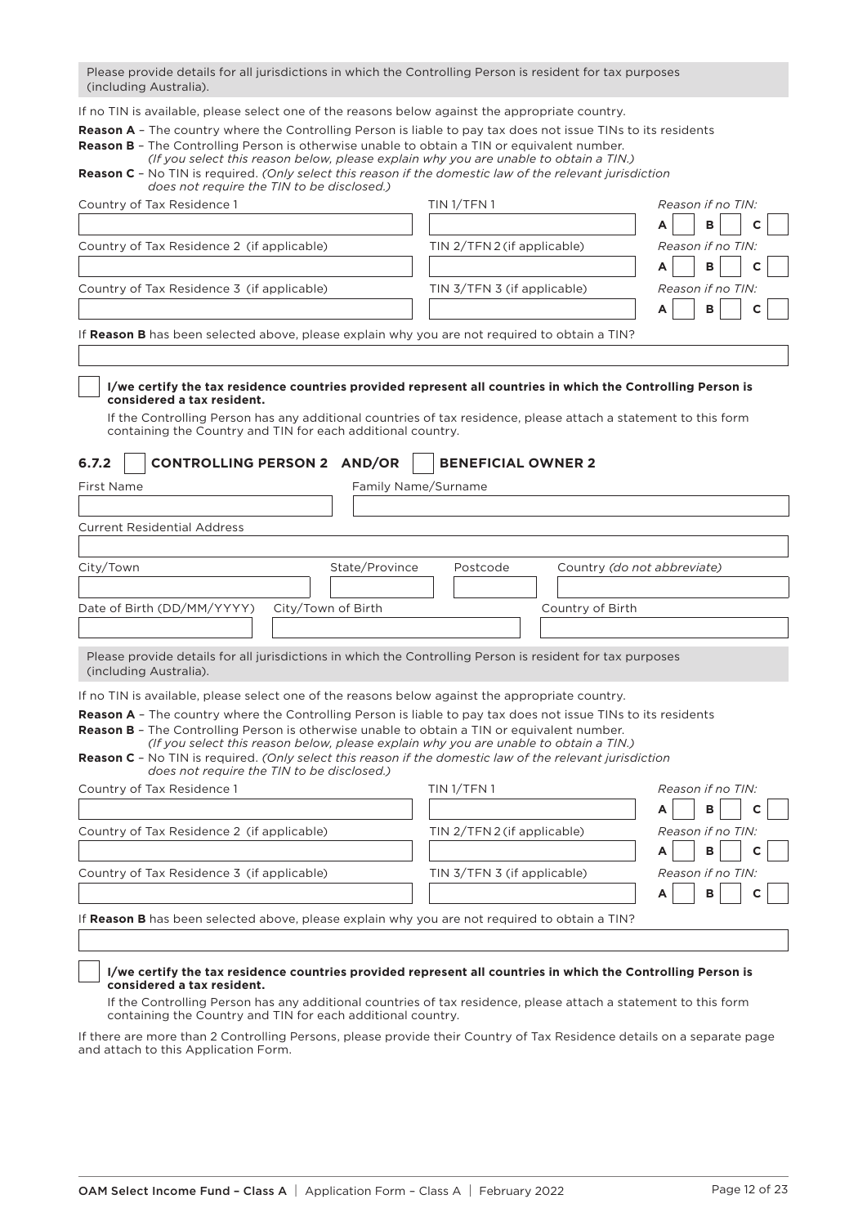Please provide details for all jurisdictions in which the Controlling Person is resident for tax purposes (including Australia).

If no TIN is available, please select one of the reasons below against the appropriate country.

**Reason A** – The country where the Controlling Person is liable to pay tax does not issue TINs to its residents

| <b>Reason B</b> - The Controlling Person is otherwise unable to obtain a TIN or equivalent number.              |
|-----------------------------------------------------------------------------------------------------------------|
| (If you select this reason below, please explain why you are unable to obtain a TIN.)                           |
| <b>Reason C</b> - No TIN is required. (Only select this reason if the domestic law of the relevant jurisdiction |
| does not require the TIN to be disclosed.)                                                                      |

| Country of Tax Residence 1                                                                                                                                                                                                                                                                                                                                                                                                                                                           | TIN <sub>1</sub> /TFN <sub>1</sub>      | Reason if no TIN: |
|--------------------------------------------------------------------------------------------------------------------------------------------------------------------------------------------------------------------------------------------------------------------------------------------------------------------------------------------------------------------------------------------------------------------------------------------------------------------------------------|-----------------------------------------|-------------------|
|                                                                                                                                                                                                                                                                                                                                                                                                                                                                                      |                                         | в<br>A            |
| Country of Tax Residence 2 (if applicable)                                                                                                                                                                                                                                                                                                                                                                                                                                           | TIN 2/TFN 2 (if applicable)             | Reason if no TIN: |
|                                                                                                                                                                                                                                                                                                                                                                                                                                                                                      |                                         | B                 |
| Country of Tax Residence 3 (if applicable)                                                                                                                                                                                                                                                                                                                                                                                                                                           | TIN 3/TFN 3 (if applicable)             | Reason if no TIN: |
|                                                                                                                                                                                                                                                                                                                                                                                                                                                                                      |                                         | B                 |
| If Reason B has been selected above, please explain why you are not required to obtain a TIN?                                                                                                                                                                                                                                                                                                                                                                                        |                                         |                   |
| I/we certify the tax residence countries provided represent all countries in which the Controlling Person is<br>considered a tax resident.<br>If the Controlling Person has any additional countries of tax residence, please attach a statement to this form<br>containing the Country and TIN for each additional country.<br>6.7.2<br><b>CONTROLLING PERSON 2 AND/OR</b>                                                                                                          | <b>BENEFICIAL OWNER 2</b>               |                   |
| First Name                                                                                                                                                                                                                                                                                                                                                                                                                                                                           | Family Name/Surname                     |                   |
|                                                                                                                                                                                                                                                                                                                                                                                                                                                                                      |                                         |                   |
| <b>Current Residential Address</b>                                                                                                                                                                                                                                                                                                                                                                                                                                                   |                                         |                   |
|                                                                                                                                                                                                                                                                                                                                                                                                                                                                                      |                                         |                   |
| State/Province<br>City/Town                                                                                                                                                                                                                                                                                                                                                                                                                                                          | Postcode<br>Country (do not abbreviate) |                   |
|                                                                                                                                                                                                                                                                                                                                                                                                                                                                                      |                                         |                   |
| Date of Birth (DD/MM/YYYY)<br>City/Town of Birth                                                                                                                                                                                                                                                                                                                                                                                                                                     | Country of Birth                        |                   |
|                                                                                                                                                                                                                                                                                                                                                                                                                                                                                      |                                         |                   |
| Please provide details for all jurisdictions in which the Controlling Person is resident for tax purposes<br>(including Australia).                                                                                                                                                                                                                                                                                                                                                  |                                         |                   |
| If no TIN is available, please select one of the reasons below against the appropriate country.                                                                                                                                                                                                                                                                                                                                                                                      |                                         |                   |
| <b>Reason A</b> - The country where the Controlling Person is liable to pay tax does not issue TINs to its residents<br><b>Reason B</b> - The Controlling Person is otherwise unable to obtain a TIN or equivalent number.<br>(If you select this reason below, please explain why you are unable to obtain a TIN.)<br><b>Reason C</b> - No TIN is required. (Only select this reason if the domestic law of the relevant jurisdiction<br>does not require the TIN to be disclosed.) |                                         |                   |
| Country of Tax Residence 1                                                                                                                                                                                                                                                                                                                                                                                                                                                           | TIN 1/TFN 1                             | Reason if no TIN: |
|                                                                                                                                                                                                                                                                                                                                                                                                                                                                                      |                                         | в                 |
| Country of Tax Residence 2 (if applicable)                                                                                                                                                                                                                                                                                                                                                                                                                                           | TIN 2/TFN 2 (if applicable)             | Reason if no TIN: |
|                                                                                                                                                                                                                                                                                                                                                                                                                                                                                      |                                         | в<br>А            |
| Country of Tax Residence 3 (if applicable)                                                                                                                                                                                                                                                                                                                                                                                                                                           | TIN 3/TFN 3 (if applicable)             | Reason if no TIN: |
|                                                                                                                                                                                                                                                                                                                                                                                                                                                                                      |                                         | B                 |
| If Reason B has been selected above, please explain why you are not required to obtain a TIN?                                                                                                                                                                                                                                                                                                                                                                                        |                                         |                   |

## **I/we certify the tax residence countries provided represent all countries in which the Controlling Person is considered a tax resident.**

 If the Controlling Person has any additional countries of tax residence, please attach a statement to this form containing the Country and TIN for each additional country.

If there are more than 2 Controlling Persons, please provide their Country of Tax Residence details on a separate page and attach to this Application Form.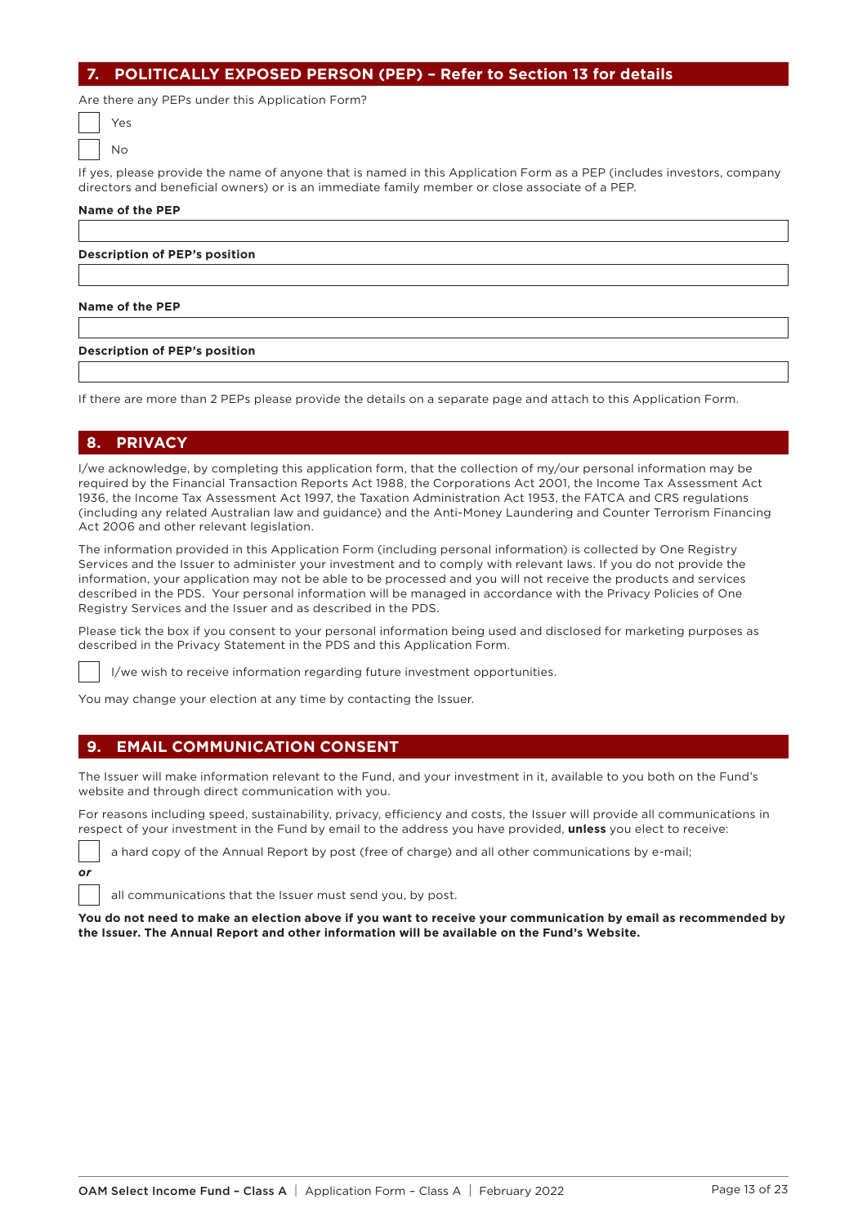# **7. POLITICALLY EXPOSED PERSON (PEP) – Refer to Section 13 for details**

Are there any PEPs under this Application Form?

| Yes     |  |
|---------|--|
| $\circ$ |  |

If yes, please provide the name of anyone that is named in this Application Form as a PEP (includes investors, company directors and beneficial owners) or is an immediate family member or close associate of a PEP.

#### **Name of the PEP**

**Description of PEP's position**

#### **Name of the PEP**

#### **Description of PEP's position**

If there are more than 2 PEPs please provide the details on a separate page and attach to this Application Form.

# **8. PRIVACY**

*or*

I/we acknowledge, by completing this application form, that the collection of my/our personal information may be required by the Financial Transaction Reports Act 1988, the Corporations Act 2001, the Income Tax Assessment Act 1936, the Income Tax Assessment Act 1997, the Taxation Administration Act 1953, the FATCA and CRS regulations (including any related Australian law and guidance) and the Anti-Money Laundering and Counter Terrorism Financing Act 2006 and other relevant legislation.

The information provided in this Application Form (including personal information) is collected by One Registry Services and the Issuer to administer your investment and to comply with relevant laws. If you do not provide the information, your application may not be able to be processed and you will not receive the products and services described in the PDS. Your personal information will be managed in accordance with the Privacy Policies of One Registry Services and the Issuer and as described in the PDS.

Please tick the box if you consent to your personal information being used and disclosed for marketing purposes as described in the Privacy Statement in the PDS and this Application Form.

I/we wish to receive information regarding future investment opportunities.

You may change your election at any time by contacting the Issuer.

# **9. EMAIL COMMUNICATION CONSENT**

The Issuer will make information relevant to the Fund, and your investment in it, available to you both on the Fund's website and through direct communication with you.

For reasons including speed, sustainability, privacy, efficiency and costs, the Issuer will provide all communications in respect of your investment in the Fund by email to the address you have provided, **unless** you elect to receive:

a hard copy of the Annual Report by post (free of charge) and all other communications by e-mail;

all communications that the Issuer must send you, by post.

**You do not need to make an election above if you want to receive your communication by email as recommended by the Issuer. The Annual Report and other information will be available on the Fund's Website.**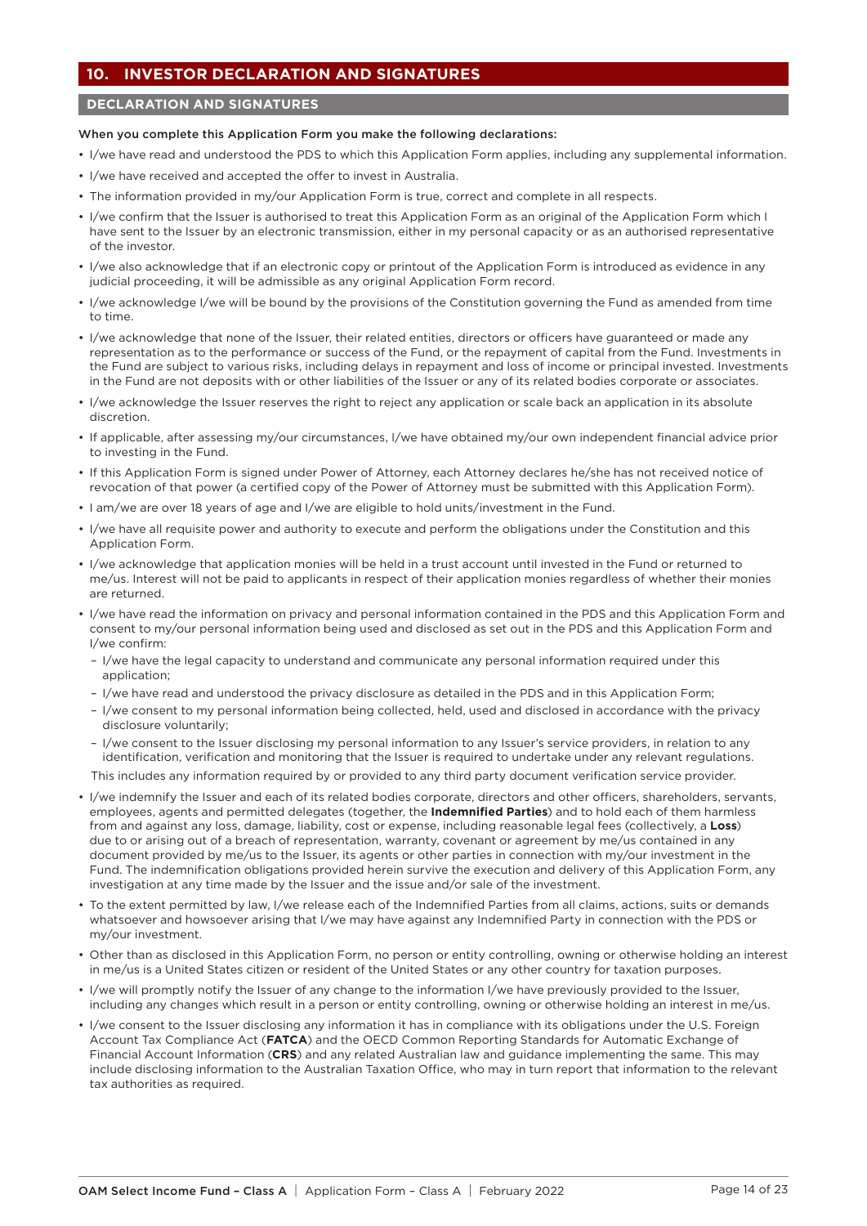# **10. INVESTOR DECLARATION AND SIGNATURES**

## **DECLARATION AND SIGNATURES**

#### When you complete this Application Form you make the following declarations:

- I/we have read and understood the PDS to which this Application Form applies, including any supplemental information.
- I/we have received and accepted the offer to invest in Australia.
- The information provided in my/our Application Form is true, correct and complete in all respects.
- I/we confirm that the Issuer is authorised to treat this Application Form as an original of the Application Form which I have sent to the Issuer by an electronic transmission, either in my personal capacity or as an authorised representative of the investor.
- I/we also acknowledge that if an electronic copy or printout of the Application Form is introduced as evidence in any judicial proceeding, it will be admissible as any original Application Form record.
- I/we acknowledge I/we will be bound by the provisions of the Constitution governing the Fund as amended from time to time.
- I/we acknowledge that none of the Issuer, their related entities, directors or officers have guaranteed or made any representation as to the performance or success of the Fund, or the repayment of capital from the Fund. Investments in the Fund are subject to various risks, including delays in repayment and loss of income or principal invested. Investments in the Fund are not deposits with or other liabilities of the Issuer or any of its related bodies corporate or associates.
- I/we acknowledge the Issuer reserves the right to reject any application or scale back an application in its absolute discretion.
- If applicable, after assessing my/our circumstances, I/we have obtained my/our own independent financial advice prior to investing in the Fund.
- If this Application Form is signed under Power of Attorney, each Attorney declares he/she has not received notice of revocation of that power (a certified copy of the Power of Attorney must be submitted with this Application Form).
- I am/we are over 18 years of age and I/we are eligible to hold units/investment in the Fund.
- I/we have all requisite power and authority to execute and perform the obligations under the Constitution and this Application Form.
- I/we acknowledge that application monies will be held in a trust account until invested in the Fund or returned to me/us. Interest will not be paid to applicants in respect of their application monies regardless of whether their monies are returned.
- I/we have read the information on privacy and personal information contained in the PDS and this Application Form and consent to my/our personal information being used and disclosed as set out in the PDS and this Application Form and I/we confirm:
	- I/we have the legal capacity to understand and communicate any personal information required under this application;
	- I/we have read and understood the privacy disclosure as detailed in the PDS and in this Application Form;
	- I/we consent to my personal information being collected, held, used and disclosed in accordance with the privacy disclosure voluntarily;
	- I/we consent to the Issuer disclosing my personal information to any Issuer's service providers, in relation to any identification, verification and monitoring that the Issuer is required to undertake under any relevant regulations.

This includes any information required by or provided to any third party document verification service provider.

- I/we indemnify the Issuer and each of its related bodies corporate, directors and other officers, shareholders, servants, employees, agents and permitted delegates (together, the **Indemnified Parties**) and to hold each of them harmless from and against any loss, damage, liability, cost or expense, including reasonable legal fees (collectively, a **Loss**) due to or arising out of a breach of representation, warranty, covenant or agreement by me/us contained in any document provided by me/us to the Issuer, its agents or other parties in connection with my/our investment in the Fund. The indemnification obligations provided herein survive the execution and delivery of this Application Form, any investigation at any time made by the Issuer and the issue and/or sale of the investment.
- To the extent permitted by law, I/we release each of the Indemnified Parties from all claims, actions, suits or demands whatsoever and howsoever arising that I/we may have against any Indemnified Party in connection with the PDS or my/our investment.
- Other than as disclosed in this Application Form, no person or entity controlling, owning or otherwise holding an interest in me/us is a United States citizen or resident of the United States or any other country for taxation purposes.
- I/we will promptly notify the Issuer of any change to the information I/we have previously provided to the Issuer, including any changes which result in a person or entity controlling, owning or otherwise holding an interest in me/us.
- I/we consent to the Issuer disclosing any information it has in compliance with its obligations under the U.S. Foreign Account Tax Compliance Act (**FATCA**) and the OECD Common Reporting Standards for Automatic Exchange of Financial Account Information (**CRS**) and any related Australian law and guidance implementing the same. This may include disclosing information to the Australian Taxation Office, who may in turn report that information to the relevant tax authorities as required.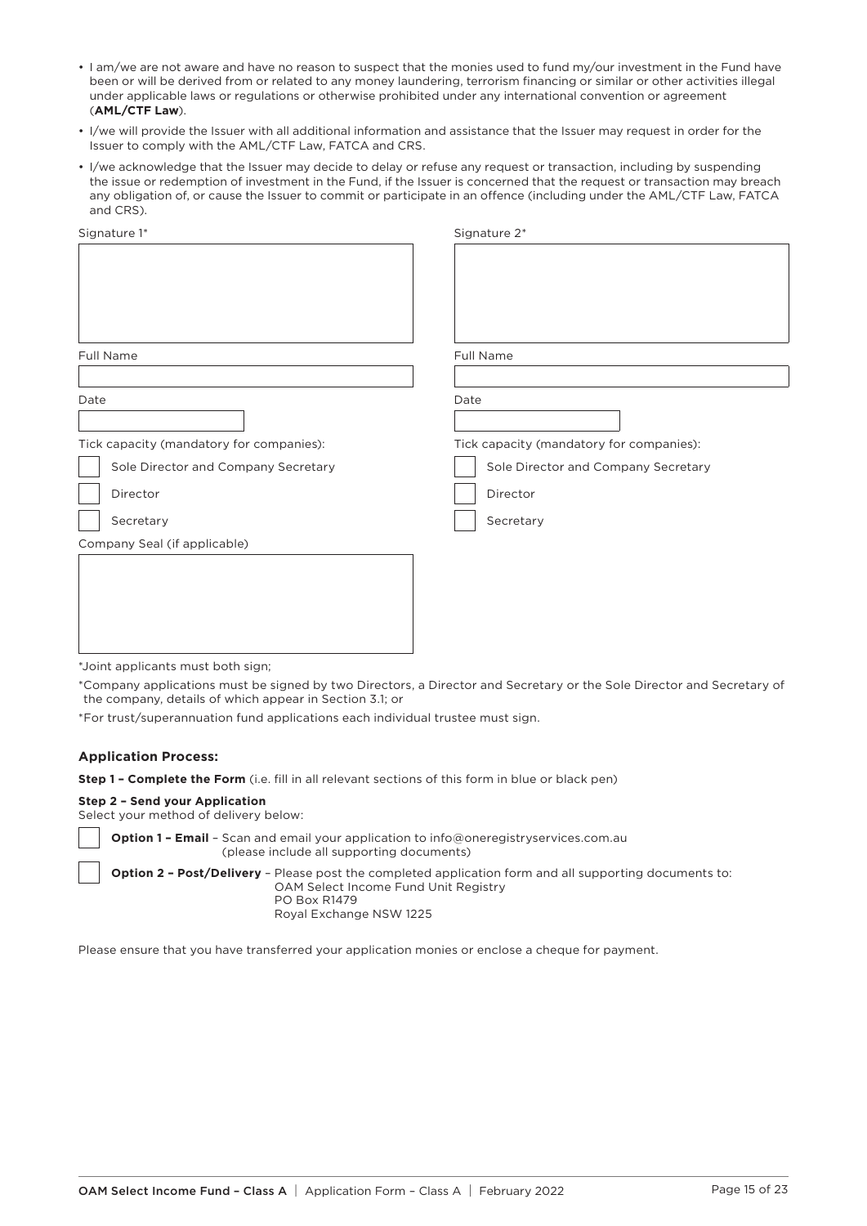- I am/we are not aware and have no reason to suspect that the monies used to fund my/our investment in the Fund have been or will be derived from or related to any money laundering, terrorism financing or similar or other activities illegal under applicable laws or regulations or otherwise prohibited under any international convention or agreement (**AML/CTF Law**).
- I/we will provide the Issuer with all additional information and assistance that the Issuer may request in order for the Issuer to comply with the AML/CTF Law, FATCA and CRS.
- I/we acknowledge that the Issuer may decide to delay or refuse any request or transaction, including by suspending the issue or redemption of investment in the Fund, if the Issuer is concerned that the request or transaction may breach any obligation of, or cause the Issuer to commit or participate in an offence (including under the AML/CTF Law, FATCA and CRS).

| Signature 1*                             | Signature 2*                             |
|------------------------------------------|------------------------------------------|
|                                          |                                          |
|                                          |                                          |
|                                          |                                          |
|                                          |                                          |
|                                          |                                          |
| Full Name                                | Full Name                                |
|                                          |                                          |
| Date                                     | Date                                     |
|                                          |                                          |
| Tick capacity (mandatory for companies): | Tick capacity (mandatory for companies): |
| Sole Director and Company Secretary      | Sole Director and Company Secretary      |
| Director                                 | Director                                 |
| Secretary                                | Secretary                                |
| Company Seal (if applicable)             |                                          |
|                                          |                                          |
|                                          |                                          |
|                                          |                                          |
|                                          |                                          |
|                                          |                                          |
|                                          |                                          |

\*Joint applicants must both sign;

\*Company applications must be signed by two Directors, a Director and Secretary or the Sole Director and Secretary of the company, details of which appear in Section 3.1; or

\*For trust/superannuation fund applications each individual trustee must sign.

#### **Application Process:**

**Step 1 – Complete the Form** (i.e. fill in all relevant sections of this form in blue or black pen)

#### **Step 2 – Send your Application**

Select your method of delivery below:

**Option 1 – Email** – Scan and email your application to [info@oneregistryservices.com.au](mailto:info@oneregistryservices.com.au)  (please include all supporting documents) **Option 2 – Post/Delivery** – Please post the completed application form and all supporting documents to: OAM Select Income Fund Unit Registry PO Box R1479

Royal Exchange NSW 1225

Please ensure that you have transferred your application monies or enclose a cheque for payment.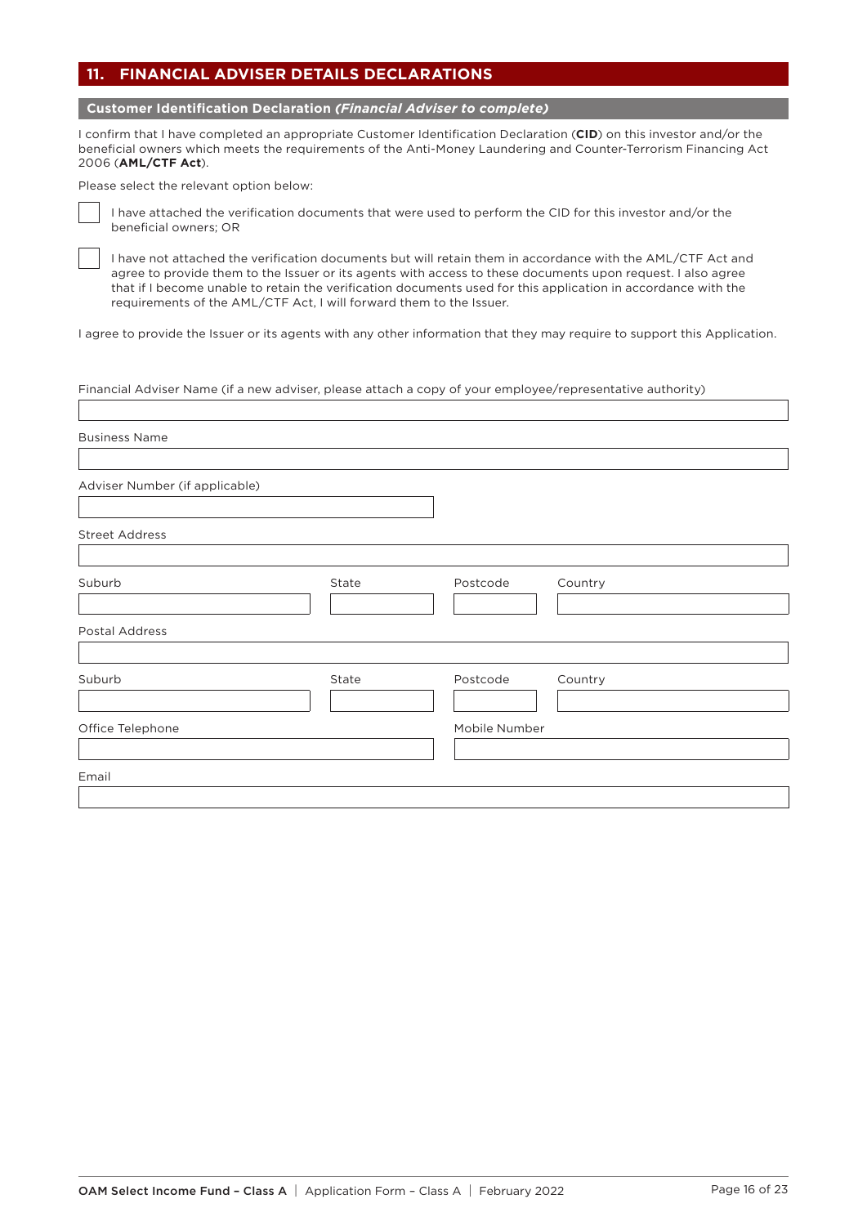# **11. FINANCIAL ADVISER DETAILS DECLARATIONS**

**Customer Identification Declaration** *(Financial Adviser to complete)*

I confirm that I have completed an appropriate Customer Identification Declaration (**CID**) on this investor and/or the beneficial owners which meets the requirements of the Anti-Money Laundering and Counter-Terrorism Financing Act 2006 (**AML/CTF Act**).

Please select the relevant option below:



 $\sqrt{ }$ 

I have attached the verification documents that were used to perform the CID for this investor and/or the beneficial owners; OR

I have not attached the verification documents but will retain them in accordance with the AML/CTF Act and agree to provide them to the Issuer or its agents with access to these documents upon request. I also agree that if I become unable to retain the verification documents used for this application in accordance with the requirements of the AML/CTF Act, I will forward them to the Issuer.

I agree to provide the Issuer or its agents with any other information that they may require to support this Application.

Financial Adviser Name (if a new adviser, please attach a copy of your employee/representative authority)

| <b>Business Name</b>           |       |                     |
|--------------------------------|-------|---------------------|
| Adviser Number (if applicable) |       |                     |
| <b>Street Address</b>          |       |                     |
| Suburb                         | State | Postcode<br>Country |
| Postal Address                 |       |                     |
| Suburb                         | State | Postcode<br>Country |
| Office Telephone               |       | Mobile Number       |
| Email                          |       |                     |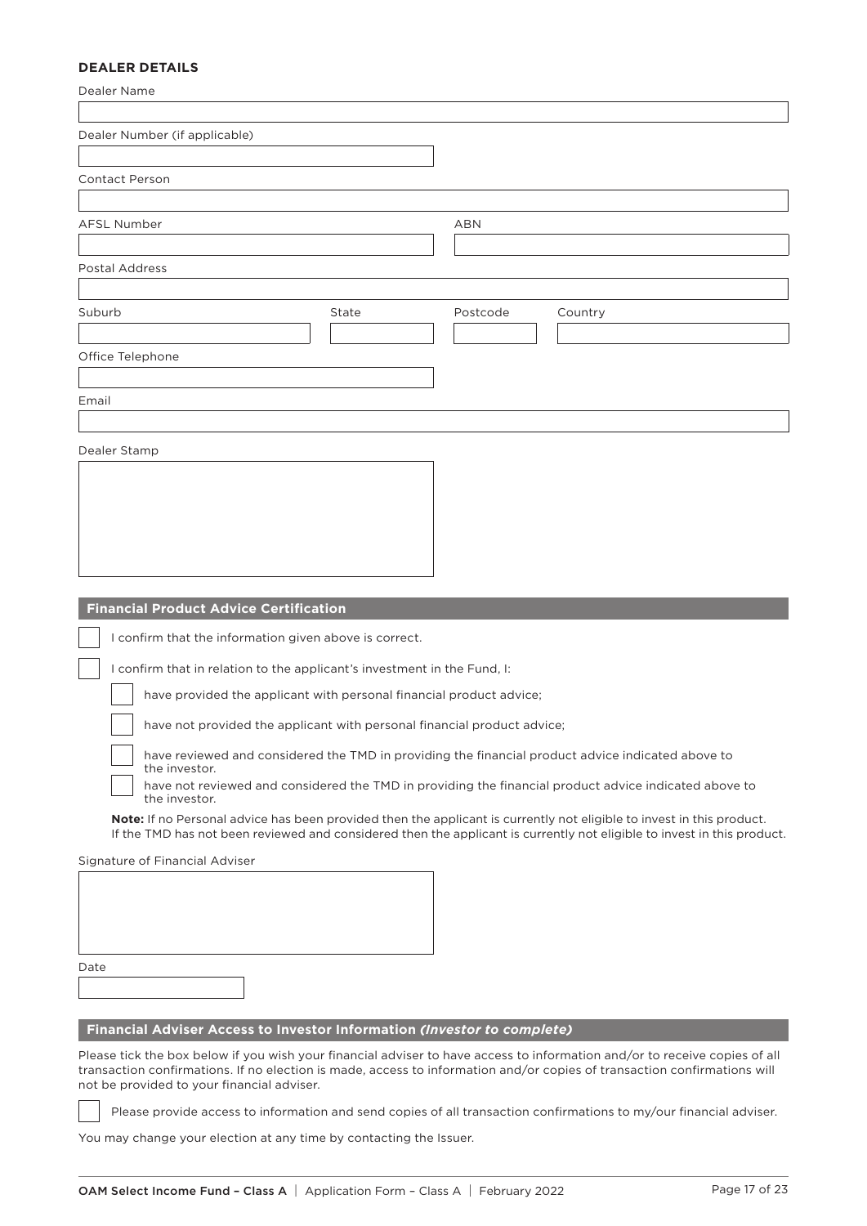# **DEALER DETAILS**

| Dealer Name                                                                                                                                                            |                                                                                                                         |
|------------------------------------------------------------------------------------------------------------------------------------------------------------------------|-------------------------------------------------------------------------------------------------------------------------|
| Dealer Number (if applicable)                                                                                                                                          |                                                                                                                         |
| Contact Person                                                                                                                                                         |                                                                                                                         |
| AFSL Number                                                                                                                                                            | <b>ABN</b>                                                                                                              |
|                                                                                                                                                                        |                                                                                                                         |
| Postal Address                                                                                                                                                         |                                                                                                                         |
| Suburb<br>State                                                                                                                                                        | Postcode<br>Country                                                                                                     |
| Office Telephone                                                                                                                                                       |                                                                                                                         |
|                                                                                                                                                                        |                                                                                                                         |
| Email                                                                                                                                                                  |                                                                                                                         |
|                                                                                                                                                                        |                                                                                                                         |
| Dealer Stamp                                                                                                                                                           |                                                                                                                         |
|                                                                                                                                                                        |                                                                                                                         |
|                                                                                                                                                                        |                                                                                                                         |
|                                                                                                                                                                        |                                                                                                                         |
|                                                                                                                                                                        |                                                                                                                         |
|                                                                                                                                                                        |                                                                                                                         |
| <b>Financial Product Advice Certification</b>                                                                                                                          |                                                                                                                         |
| I confirm that the information given above is correct.                                                                                                                 |                                                                                                                         |
| I confirm that in relation to the applicant's investment in the Fund, I:                                                                                               |                                                                                                                         |
| have provided the applicant with personal financial product advice;                                                                                                    |                                                                                                                         |
| have not provided the applicant with personal financial product advice;                                                                                                |                                                                                                                         |
| have reviewed and considered the TMD in providing the financial product advice indicated above to                                                                      |                                                                                                                         |
| the investor.                                                                                                                                                          | have not reviewed and considered the TMD in providing the financial product advice indicated above to                   |
| the investor.<br>Note: If no Personal advice has been provided then the applicant is currently not eligible to invest in this product.                                 |                                                                                                                         |
|                                                                                                                                                                        | If the TMD has not been reviewed and considered then the applicant is currently not eligible to invest in this product. |
| Signature of Financial Adviser                                                                                                                                         |                                                                                                                         |
|                                                                                                                                                                        |                                                                                                                         |
|                                                                                                                                                                        |                                                                                                                         |
|                                                                                                                                                                        |                                                                                                                         |
| Date                                                                                                                                                                   |                                                                                                                         |
|                                                                                                                                                                        |                                                                                                                         |
| Financial Adviser Access to Investor Information (Investor to complete)                                                                                                |                                                                                                                         |
| Please tick the box below if you wish your financial adviser to have access to information and/or to receive copies of all                                             |                                                                                                                         |
| transaction confirmations. If no election is made, access to information and/or copies of transaction confirmations will<br>not be provided to your financial adviser. |                                                                                                                         |
|                                                                                                                                                                        | Please provide access to information and send copies of all transaction confirmations to my/our financial adviser.      |
| You may change your election at any time by contacting the Issuer.                                                                                                     |                                                                                                                         |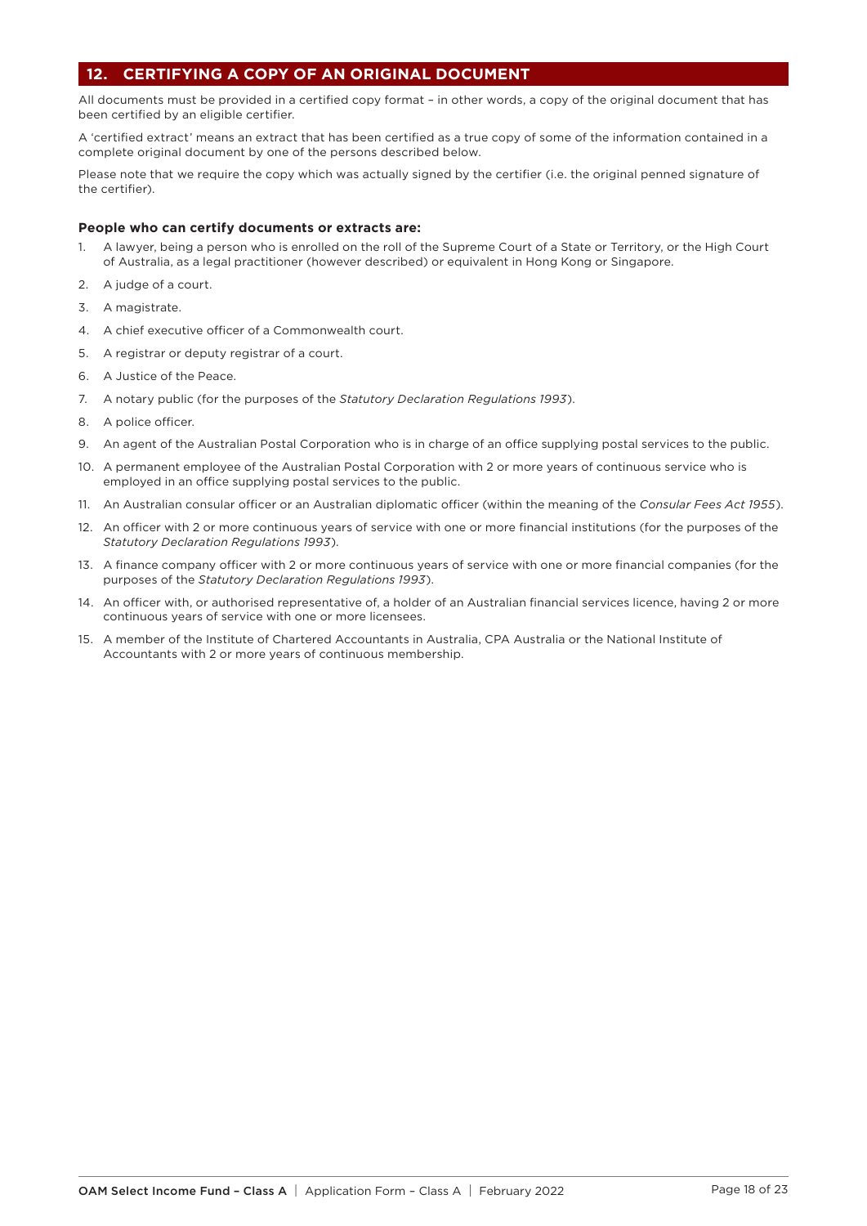# **12. CERTIFYING A COPY OF AN ORIGINAL DOCUMENT**

All documents must be provided in a certified copy format – in other words, a copy of the original document that has been certified by an eligible certifier.

A 'certified extract' means an extract that has been certified as a true copy of some of the information contained in a complete original document by one of the persons described below.

Please note that we require the copy which was actually signed by the certifier (i.e. the original penned signature of the certifier).

## **People who can certify documents or extracts are:**

- 1. A lawyer, being a person who is enrolled on the roll of the Supreme Court of a State or Territory, or the High Court of Australia, as a legal practitioner (however described) or equivalent in Hong Kong or Singapore.
- 2. A judge of a court.
- 3. A magistrate.
- 4. A chief executive officer of a Commonwealth court.
- 5. A registrar or deputy registrar of a court.
- 6. A Justice of the Peace.
- 7. A notary public (for the purposes of the *Statutory Declaration Regulations 1993*).
- 8. A police officer.
- 9. An agent of the Australian Postal Corporation who is in charge of an office supplying postal services to the public.
- 10. A permanent employee of the Australian Postal Corporation with 2 or more years of continuous service who is employed in an office supplying postal services to the public.
- 11. An Australian consular officer or an Australian diplomatic officer (within the meaning of the *Consular Fees Act 1955*).
- 12. An officer with 2 or more continuous years of service with one or more financial institutions (for the purposes of the *Statutory Declaration Regulations 1993*).
- 13. A finance company officer with 2 or more continuous years of service with one or more financial companies (for the purposes of the *Statutory Declaration Regulations 1993*).
- 14. An officer with, or authorised representative of, a holder of an Australian financial services licence, having 2 or more continuous years of service with one or more licensees.
- 15. A member of the Institute of Chartered Accountants in Australia, CPA Australia or the National Institute of Accountants with 2 or more years of continuous membership.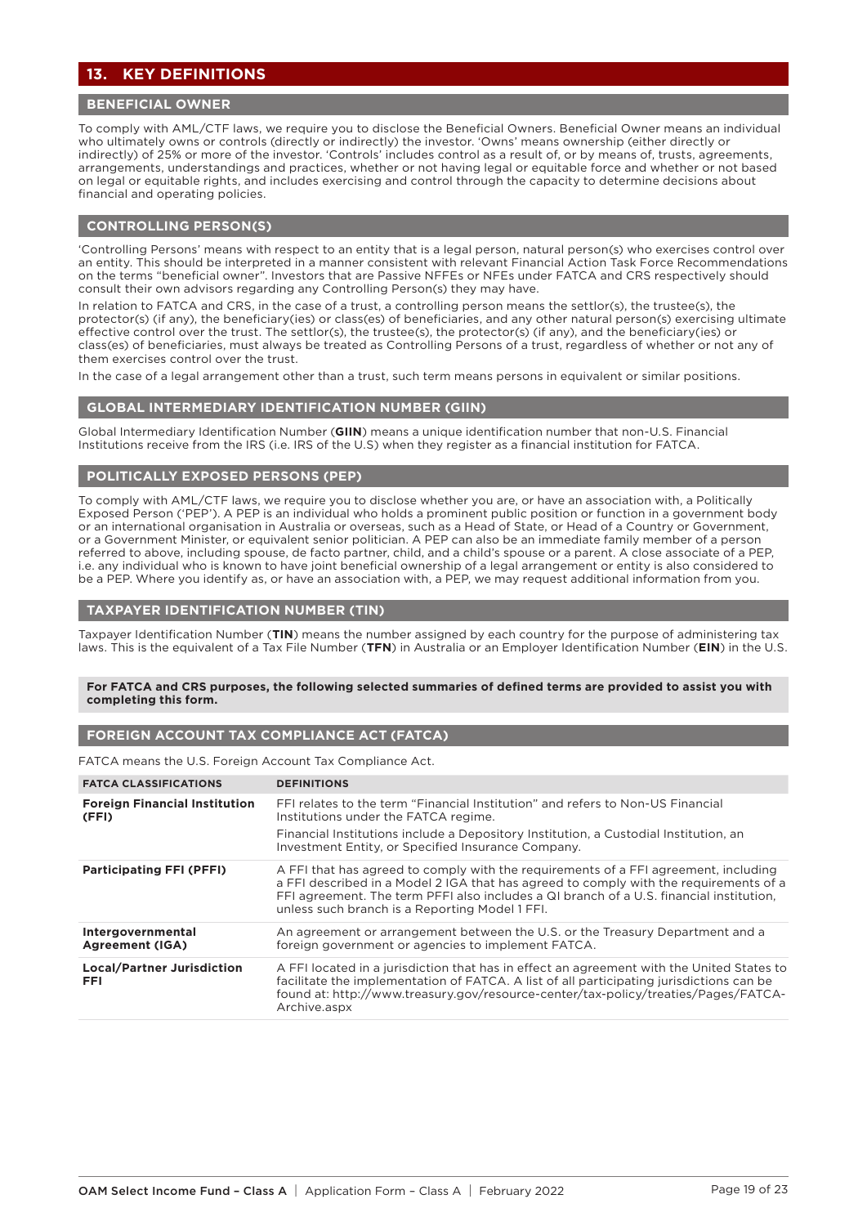# **13. KEY DEFINITIONS**

# **BENEFICIAL OWNER**

To comply with AML/CTF laws, we require you to disclose the Beneficial Owners. Beneficial Owner means an individual who ultimately owns or controls (directly or indirectly) the investor. 'Owns' means ownership (either directly or indirectly) of 25% or more of the investor. 'Controls' includes control as a result of, or by means of, trusts, agreements, arrangements, understandings and practices, whether or not having legal or equitable force and whether or not based on legal or equitable rights, and includes exercising and control through the capacity to determine decisions about financial and operating policies.

#### **CONTROLLING PERSON(S)**

'Controlling Persons' means with respect to an entity that is a legal person, natural person(s) who exercises control over an entity. This should be interpreted in a manner consistent with relevant Financial Action Task Force Recommendations on the terms "beneficial owner". Investors that are Passive NFFEs or NFEs under FATCA and CRS respectively should consult their own advisors regarding any Controlling Person(s) they may have.

In relation to FATCA and CRS, in the case of a trust, a controlling person means the settlor(s), the trustee(s), the protector(s) (if any), the beneficiary(ies) or class(es) of beneficiaries, and any other natural person(s) exercising ultimate effective control over the trust. The settlor(s), the trustee(s), the protector(s) (if any), and the beneficiary(ies) or class(es) of beneficiaries, must always be treated as Controlling Persons of a trust, regardless of whether or not any of them exercises control over the trust.

In the case of a legal arrangement other than a trust, such term means persons in equivalent or similar positions.

#### **GLOBAL INTERMEDIARY IDENTIFICATION NUMBER (GIIN)**

Global Intermediary Identification Number (**GIIN**) means a unique identification number that non-U.S. Financial Institutions receive from the IRS (i.e. IRS of the U.S) when they register as a financial institution for FATCA.

## **POLITICALLY EXPOSED PERSONS (PEP)**

To comply with AML/CTF laws, we require you to disclose whether you are, or have an association with, a Politically Exposed Person ('PEP'). A PEP is an individual who holds a prominent public position or function in a government body or an international organisation in Australia or overseas, such as a Head of State, or Head of a Country or Government, or a Government Minister, or equivalent senior politician. A PEP can also be an immediate family member of a person referred to above, including spouse, de facto partner, child, and a child's spouse or a parent. A close associate of a PEP, i.e. any individual who is known to have joint beneficial ownership of a legal arrangement or entity is also considered to be a PEP. Where you identify as, or have an association with, a PEP, we may request additional information from you.

## **TAXPAYER IDENTIFICATION NUMBER (TIN)**

Taxpayer Identification Number (**TIN**) means the number assigned by each country for the purpose of administering tax laws. This is the equivalent of a Tax File Number (**TFN**) in Australia or an Employer Identification Number (**EIN**) in the U.S.

#### **For FATCA and CRS purposes, the following selected summaries of defined terms are provided to assist you with completing this form.**

# **FOREIGN ACCOUNT TAX COMPLIANCE ACT (FATCA)**

FATCA means the U.S. Foreign Account Tax Compliance Act.

| <b>FATCA CLASSIFICATIONS</b>                    | <b>DEFINITIONS</b>                                                                                                                                                                                                                                                                                                        |
|-------------------------------------------------|---------------------------------------------------------------------------------------------------------------------------------------------------------------------------------------------------------------------------------------------------------------------------------------------------------------------------|
| <b>Foreign Financial Institution</b><br>(FFI)   | FFI relates to the term "Financial Institution" and refers to Non-US Financial<br>Institutions under the FATCA regime.<br>Financial Institutions include a Depository Institution, a Custodial Institution, an<br>Investment Entity, or Specified Insurance Company.                                                      |
| <b>Participating FFI (PFFI)</b>                 | A FFI that has agreed to comply with the requirements of a FFI agreement, including<br>a FFI described in a Model 2 IGA that has agreed to comply with the requirements of a<br>FFI agreement. The term PFFI also includes a QI branch of a U.S. financial institution,<br>unless such branch is a Reporting Model 1 FFI. |
| Intergovernmental<br><b>Agreement (IGA)</b>     | An agreement or arrangement between the U.S. or the Treasury Department and a<br>foreign government or agencies to implement FATCA.                                                                                                                                                                                       |
| <b>Local/Partner Jurisdiction</b><br><b>FFI</b> | A FFI located in a jurisdiction that has in effect an agreement with the United States to<br>facilitate the implementation of FATCA. A list of all participating jurisdictions can be<br>found at: http://www.treasury.gov/resource-center/tax-policy/treaties/Pages/FATCA-<br>Archive.aspx                               |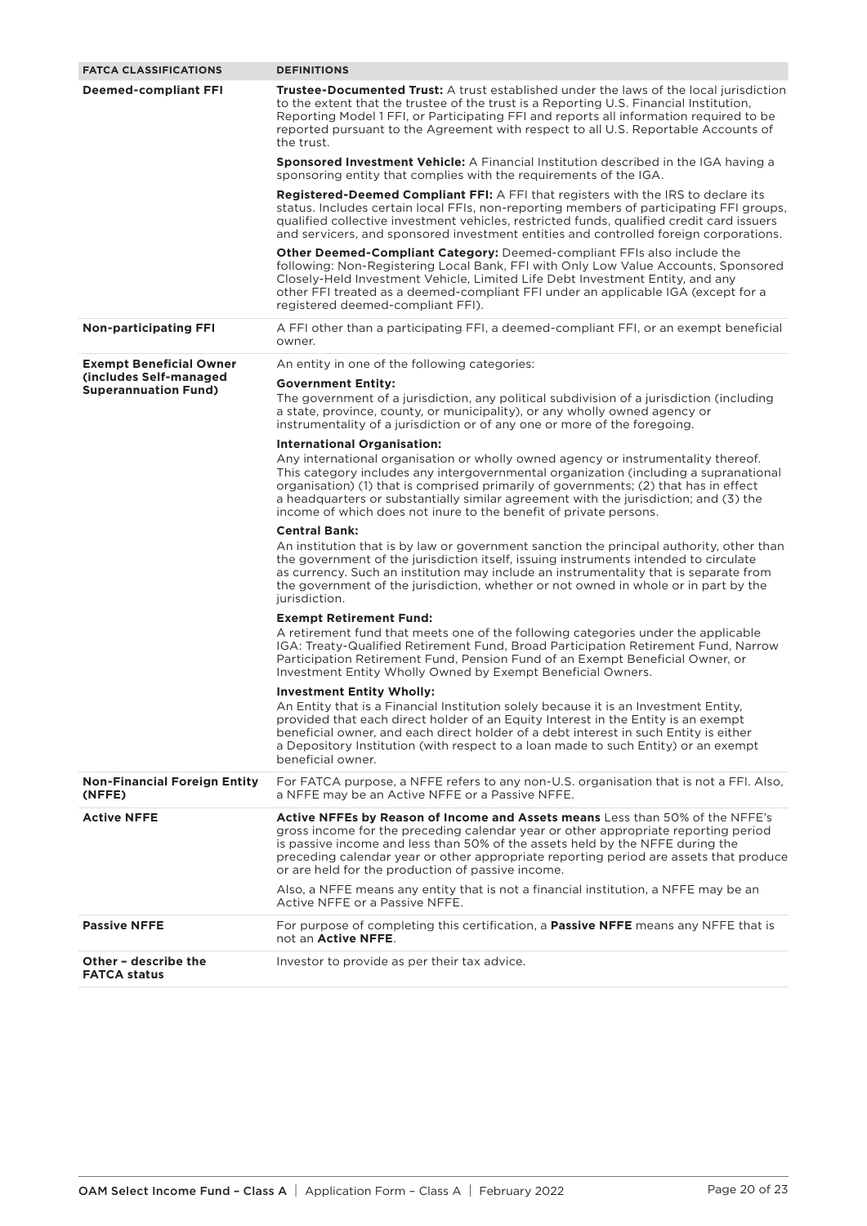| <b>FATCA CLASSIFICATIONS</b>                          | <b>DEFINITIONS</b>                                                                                                                                                                                                                                                                                                                                                                                                             |
|-------------------------------------------------------|--------------------------------------------------------------------------------------------------------------------------------------------------------------------------------------------------------------------------------------------------------------------------------------------------------------------------------------------------------------------------------------------------------------------------------|
| <b>Deemed-compliant FFI</b>                           | <b>Trustee-Documented Trust:</b> A trust established under the laws of the local jurisdiction<br>to the extent that the trustee of the trust is a Reporting U.S. Financial Institution,<br>Reporting Model 1 FFI, or Participating FFI and reports all information required to be<br>reported pursuant to the Agreement with respect to all U.S. Reportable Accounts of<br>the trust.                                          |
|                                                       | <b>Sponsored Investment Vehicle:</b> A Financial Institution described in the IGA having a<br>sponsoring entity that complies with the requirements of the IGA.                                                                                                                                                                                                                                                                |
|                                                       | <b>Registered-Deemed Compliant FFI:</b> A FFI that registers with the IRS to declare its<br>status. Includes certain local FFIs, non-reporting members of participating FFI groups,<br>qualified collective investment vehicles, restricted funds, qualified credit card issuers<br>and servicers, and sponsored investment entities and controlled foreign corporations.                                                      |
|                                                       | <b>Other Deemed-Compliant Category:</b> Deemed-compliant FFIs also include the<br>following: Non-Registering Local Bank, FFI with Only Low Value Accounts, Sponsored<br>Closely-Held Investment Vehicle, Limited Life Debt Investment Entity, and any<br>other FFI treated as a deemed-compliant FFI under an applicable IGA (except for a<br>registered deemed-compliant FFI).                                                |
| <b>Non-participating FFI</b>                          | A FFI other than a participating FFI, a deemed-compliant FFI, or an exempt beneficial<br>owner.                                                                                                                                                                                                                                                                                                                                |
| <b>Exempt Beneficial Owner</b>                        | An entity in one of the following categories:                                                                                                                                                                                                                                                                                                                                                                                  |
| Cincludes Self-managed<br><b>Superannuation Fund)</b> | <b>Government Entity:</b><br>The government of a jurisdiction, any political subdivision of a jurisdiction (including<br>a state, province, county, or municipality), or any wholly owned agency or<br>instrumentality of a jurisdiction or of any one or more of the foregoing.                                                                                                                                               |
|                                                       | <b>International Organisation:</b>                                                                                                                                                                                                                                                                                                                                                                                             |
|                                                       | Any international organisation or wholly owned agency or instrumentality thereof.<br>This category includes any intergovernmental organization (including a supranational<br>organisation) (1) that is comprised primarily of governments; (2) that has in effect<br>a headquarters or substantially similar agreement with the jurisdiction; and (3) the<br>income of which does not inure to the benefit of private persons. |
|                                                       | <b>Central Bank:</b>                                                                                                                                                                                                                                                                                                                                                                                                           |
|                                                       | An institution that is by law or government sanction the principal authority, other than<br>the government of the jurisdiction itself, issuing instruments intended to circulate<br>as currency. Such an institution may include an instrumentality that is separate from<br>the government of the jurisdiction, whether or not owned in whole or in part by the<br>jurisdiction.                                              |
|                                                       | <b>Exempt Retirement Fund:</b>                                                                                                                                                                                                                                                                                                                                                                                                 |
|                                                       | A retirement fund that meets one of the following categories under the applicable<br>IGA: Treaty-Qualified Retirement Fund, Broad Participation Retirement Fund, Narrow<br>Participation Retirement Fund, Pension Fund of an Exempt Beneficial Owner, or<br>Investment Entity Wholly Owned by Exempt Beneficial Owners.                                                                                                        |
|                                                       | <b>Investment Entity Wholly:</b>                                                                                                                                                                                                                                                                                                                                                                                               |
|                                                       | An Entity that is a Financial Institution solely because it is an Investment Entity,<br>provided that each direct holder of an Equity Interest in the Entity is an exempt<br>beneficial owner, and each direct holder of a debt interest in such Entity is either<br>a Depository Institution (with respect to a loan made to such Entity) or an exempt<br>beneficial owner.                                                   |
| <b>Non-Financial Foreign Entity</b><br>(NFFE)         | For FATCA purpose, a NFFE refers to any non-U.S. organisation that is not a FFI. Also,<br>a NFFE may be an Active NFFE or a Passive NFFE.                                                                                                                                                                                                                                                                                      |
| <b>Active NFFE</b>                                    | <b>Active NFFEs by Reason of Income and Assets means</b> Less than 50% of the NFFE's<br>gross income for the preceding calendar year or other appropriate reporting period<br>is passive income and less than 50% of the assets held by the NFFE during the<br>preceding calendar year or other appropriate reporting period are assets that produce<br>or are held for the production of passive income.                      |
|                                                       | Also, a NFFE means any entity that is not a financial institution, a NFFE may be an<br>Active NFFE or a Passive NFFE.                                                                                                                                                                                                                                                                                                          |
| <b>Passive NFFE</b>                                   | For purpose of completing this certification, a <b>Passive NFFE</b> means any NFFE that is<br>not an Active NFFE.                                                                                                                                                                                                                                                                                                              |
| Other - describe the<br><b>FATCA status</b>           | Investor to provide as per their tax advice.                                                                                                                                                                                                                                                                                                                                                                                   |
|                                                       |                                                                                                                                                                                                                                                                                                                                                                                                                                |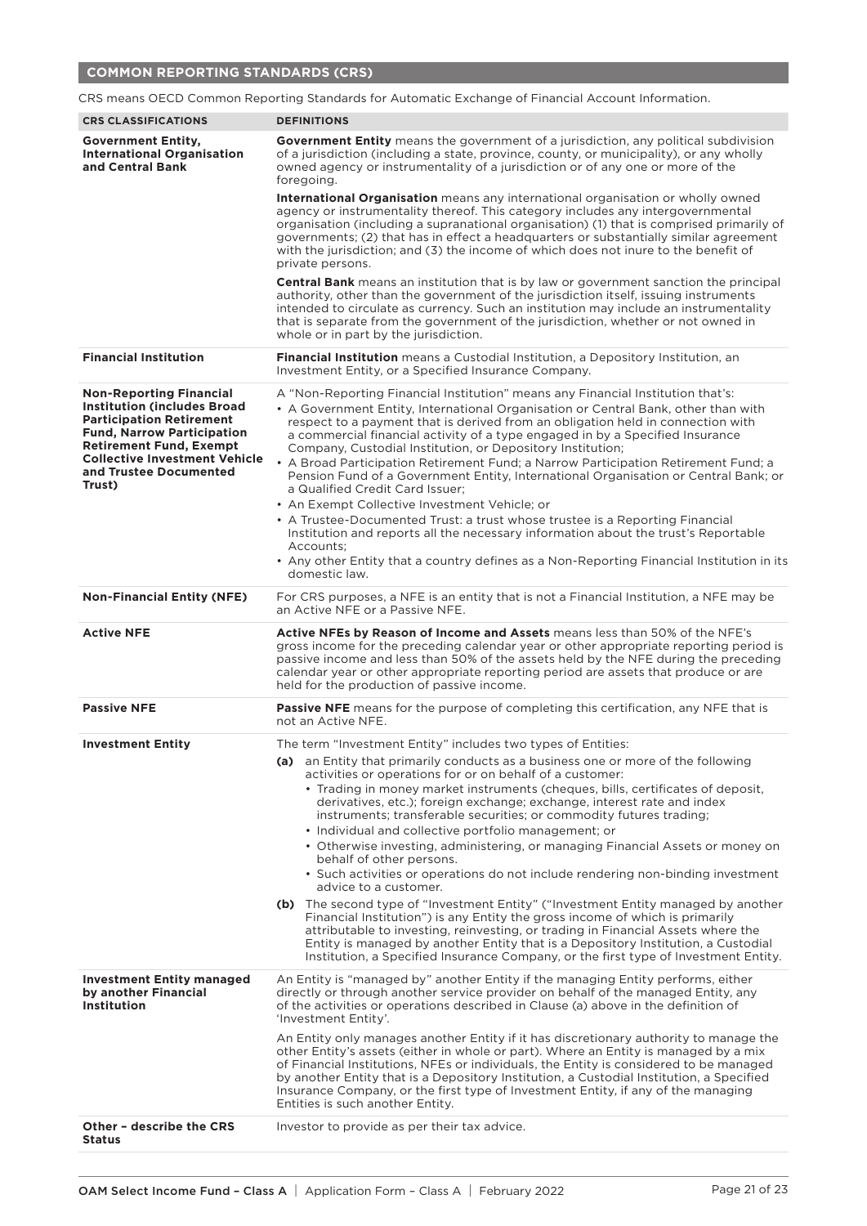# **COMMON REPORTING STANDARDS (CRS)**

|                                                                                                                                                                                                                                                             | CRS means OECD Common Reporting Standards for Automatic Exchange of Financial Account Information.                                                                                                                                                                                                                                                                                                                                                                                                                                                                                                                                                                                                                                                       |
|-------------------------------------------------------------------------------------------------------------------------------------------------------------------------------------------------------------------------------------------------------------|----------------------------------------------------------------------------------------------------------------------------------------------------------------------------------------------------------------------------------------------------------------------------------------------------------------------------------------------------------------------------------------------------------------------------------------------------------------------------------------------------------------------------------------------------------------------------------------------------------------------------------------------------------------------------------------------------------------------------------------------------------|
| <b>CRS CLASSIFICATIONS</b>                                                                                                                                                                                                                                  | <b>DEFINITIONS</b>                                                                                                                                                                                                                                                                                                                                                                                                                                                                                                                                                                                                                                                                                                                                       |
| <b>Government Entity,</b><br><b>International Organisation</b><br>and Central Bank                                                                                                                                                                          | <b>Government Entity</b> means the government of a jurisdiction, any political subdivision<br>of a jurisdiction (including a state, province, county, or municipality), or any wholly<br>owned agency or instrumentality of a jurisdiction or of any one or more of the<br>foregoing.                                                                                                                                                                                                                                                                                                                                                                                                                                                                    |
|                                                                                                                                                                                                                                                             | International Organisation means any international organisation or wholly owned<br>agency or instrumentality thereof. This category includes any intergovernmental<br>organisation (including a supranational organisation) (1) that is comprised primarily of<br>governments; (2) that has in effect a headquarters or substantially similar agreement<br>with the jurisdiction; and (3) the income of which does not inure to the benefit of<br>private persons.                                                                                                                                                                                                                                                                                       |
|                                                                                                                                                                                                                                                             | <b>Central Bank</b> means an institution that is by law or government sanction the principal<br>authority, other than the government of the jurisdiction itself, issuing instruments<br>intended to circulate as currency. Such an institution may include an instrumentality<br>that is separate from the government of the jurisdiction, whether or not owned in<br>whole or in part by the jurisdiction.                                                                                                                                                                                                                                                                                                                                              |
| <b>Financial Institution</b>                                                                                                                                                                                                                                | Financial Institution means a Custodial Institution, a Depository Institution, an<br>Investment Entity, or a Specified Insurance Company.                                                                                                                                                                                                                                                                                                                                                                                                                                                                                                                                                                                                                |
| <b>Non-Reporting Financial</b><br><b>Institution (includes Broad)</b><br><b>Participation Retirement</b><br><b>Fund, Narrow Participation</b><br><b>Retirement Fund, Exempt</b><br><b>Collective Investment Vehicle</b><br>and Trustee Documented<br>Trust) | A "Non-Reporting Financial Institution" means any Financial Institution that's:<br>• A Government Entity, International Organisation or Central Bank, other than with<br>respect to a payment that is derived from an obligation held in connection with<br>a commercial financial activity of a type engaged in by a Specified Insurance<br>Company, Custodial Institution, or Depository Institution;<br>• A Broad Participation Retirement Fund; a Narrow Participation Retirement Fund; a<br>Pension Fund of a Government Entity, International Organisation or Central Bank; or<br>a Qualified Credit Card Issuer;<br>• An Exempt Collective Investment Vehicle; or<br>• A Trustee-Documented Trust: a trust whose trustee is a Reporting Financial |
|                                                                                                                                                                                                                                                             | Institution and reports all the necessary information about the trust's Reportable<br>Accounts;<br>• Any other Entity that a country defines as a Non-Reporting Financial Institution in its<br>domestic law.                                                                                                                                                                                                                                                                                                                                                                                                                                                                                                                                            |
| <b>Non-Financial Entity (NFE)</b>                                                                                                                                                                                                                           | For CRS purposes, a NFE is an entity that is not a Financial Institution, a NFE may be<br>an Active NFE or a Passive NFE.                                                                                                                                                                                                                                                                                                                                                                                                                                                                                                                                                                                                                                |
|                                                                                                                                                                                                                                                             |                                                                                                                                                                                                                                                                                                                                                                                                                                                                                                                                                                                                                                                                                                                                                          |
| <b>Active NFE</b>                                                                                                                                                                                                                                           | Active NFEs by Reason of Income and Assets means less than 50% of the NFE's<br>gross income for the preceding calendar year or other appropriate reporting period is<br>passive income and less than 50% of the assets held by the NFE during the preceding<br>calendar year or other appropriate reporting period are assets that produce or are<br>held for the production of passive income.                                                                                                                                                                                                                                                                                                                                                          |
| <b>Passive NFE</b>                                                                                                                                                                                                                                          | <b>Passive NFE</b> means for the purpose of completing this certification, any NFE that is<br>not an Active NFE.                                                                                                                                                                                                                                                                                                                                                                                                                                                                                                                                                                                                                                         |
| <b>Investment Entity</b>                                                                                                                                                                                                                                    | The term "Investment Entity" includes two types of Entities:                                                                                                                                                                                                                                                                                                                                                                                                                                                                                                                                                                                                                                                                                             |
|                                                                                                                                                                                                                                                             | (a) an Entity that primarily conducts as a business one or more of the following<br>activities or operations for or on behalf of a customer:                                                                                                                                                                                                                                                                                                                                                                                                                                                                                                                                                                                                             |
|                                                                                                                                                                                                                                                             | • Trading in money market instruments (cheques, bills, certificates of deposit,<br>derivatives, etc.); foreign exchange; exchange, interest rate and index<br>instruments; transferable securities; or commodity futures trading;                                                                                                                                                                                                                                                                                                                                                                                                                                                                                                                        |
|                                                                                                                                                                                                                                                             | • Individual and collective portfolio management; or<br>• Otherwise investing, administering, or managing Financial Assets or money on<br>behalf of other persons.                                                                                                                                                                                                                                                                                                                                                                                                                                                                                                                                                                                       |
|                                                                                                                                                                                                                                                             | • Such activities or operations do not include rendering non-binding investment<br>advice to a customer.                                                                                                                                                                                                                                                                                                                                                                                                                                                                                                                                                                                                                                                 |
|                                                                                                                                                                                                                                                             | (b) The second type of "Investment Entity" ("Investment Entity managed by another<br>Financial Institution") is any Entity the gross income of which is primarily<br>attributable to investing, reinvesting, or trading in Financial Assets where the<br>Entity is managed by another Entity that is a Depository Institution, a Custodial<br>Institution, a Specified Insurance Company, or the first type of Investment Entity.                                                                                                                                                                                                                                                                                                                        |
| <b>Investment Entity managed</b><br>by another Financial<br><b>Institution</b>                                                                                                                                                                              | An Entity is "managed by" another Entity if the managing Entity performs, either<br>directly or through another service provider on behalf of the managed Entity, any<br>of the activities or operations described in Clause (a) above in the definition of<br>'Investment Entity'.                                                                                                                                                                                                                                                                                                                                                                                                                                                                      |
|                                                                                                                                                                                                                                                             | An Entity only manages another Entity if it has discretionary authority to manage the<br>other Entity's assets (either in whole or part). Where an Entity is managed by a mix<br>of Financial Institutions, NFEs or individuals, the Entity is considered to be managed<br>by another Entity that is a Depository Institution, a Custodial Institution, a Specified<br>Insurance Company, or the first type of Investment Entity, if any of the managing<br>Entities is such another Entity.                                                                                                                                                                                                                                                             |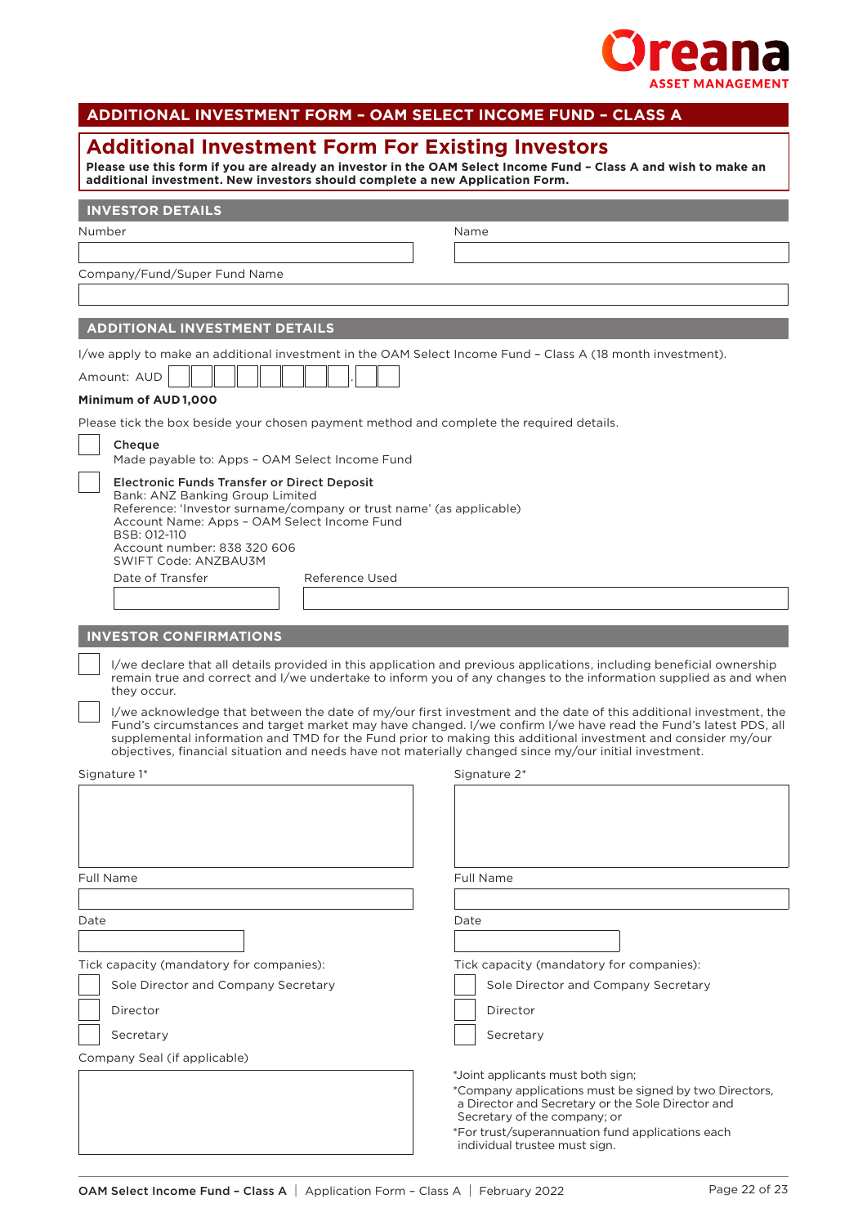

| ADDITIONAL INVESTMENT FORM - OAM SELECT INCOME FUND - CLASS A                                                                            |                                                                                                                                                                                                                                         |
|------------------------------------------------------------------------------------------------------------------------------------------|-----------------------------------------------------------------------------------------------------------------------------------------------------------------------------------------------------------------------------------------|
| <b>Additional Investment Form For Existing Investors</b><br>additional investment. New investors should complete a new Application Form. | Please use this form if you are already an investor in the OAM Select Income Fund - Class A and wish to make an                                                                                                                         |
| <b>INVESTOR DETAILS</b>                                                                                                                  |                                                                                                                                                                                                                                         |
| Number                                                                                                                                   | Name                                                                                                                                                                                                                                    |
|                                                                                                                                          |                                                                                                                                                                                                                                         |
| Company/Fund/Super Fund Name                                                                                                             |                                                                                                                                                                                                                                         |
|                                                                                                                                          |                                                                                                                                                                                                                                         |
| <b>ADDITIONAL INVESTMENT DETAILS</b>                                                                                                     |                                                                                                                                                                                                                                         |
| I/we apply to make an additional investment in the OAM Select Income Fund - Class A (18 month investment).                               |                                                                                                                                                                                                                                         |
| Amount: AUD                                                                                                                              |                                                                                                                                                                                                                                         |
| Minimum of AUD1,000                                                                                                                      |                                                                                                                                                                                                                                         |
| Please tick the box beside your chosen payment method and complete the required details.                                                 |                                                                                                                                                                                                                                         |
| Cheque                                                                                                                                   |                                                                                                                                                                                                                                         |
| Made payable to: Apps - OAM Select Income Fund                                                                                           |                                                                                                                                                                                                                                         |
| <b>Electronic Funds Transfer or Direct Deposit</b><br>Bank: ANZ Banking Group Limited                                                    |                                                                                                                                                                                                                                         |
| Reference: 'Investor surname/company or trust name' (as applicable)<br>Account Name: Apps - OAM Select Income Fund                       |                                                                                                                                                                                                                                         |
| BSB: 012-110<br>Account number: 838 320 606                                                                                              |                                                                                                                                                                                                                                         |
| SWIFT Code: ANZBAU3M                                                                                                                     |                                                                                                                                                                                                                                         |
| Date of Transfer<br>Reference Used                                                                                                       |                                                                                                                                                                                                                                         |
|                                                                                                                                          |                                                                                                                                                                                                                                         |
| <b>INVESTOR CONFIRMATIONS</b>                                                                                                            |                                                                                                                                                                                                                                         |
| they occur.                                                                                                                              | I/we declare that all details provided in this application and previous applications, including beneficial ownership<br>remain true and correct and I/we undertake to inform you of any changes to the information supplied as and when |
|                                                                                                                                          | I/we acknowledge that between the date of my/our first investment and the date of this additional investment, the                                                                                                                       |
|                                                                                                                                          | Fund's circumstances and target market may have changed. I/we confirm I/we have read the Fund's latest PDS, all<br>supplemental information and TMD for the Fund prior to making this additional investment and consider my/our         |
| objectives, financial situation and needs have not materially changed since my/our initial investment.                                   |                                                                                                                                                                                                                                         |
| Signature 1*                                                                                                                             | Signature 2*                                                                                                                                                                                                                            |
|                                                                                                                                          |                                                                                                                                                                                                                                         |
|                                                                                                                                          |                                                                                                                                                                                                                                         |
|                                                                                                                                          |                                                                                                                                                                                                                                         |
| <b>Full Name</b>                                                                                                                         | Full Name                                                                                                                                                                                                                               |
|                                                                                                                                          |                                                                                                                                                                                                                                         |
| Date                                                                                                                                     | Date                                                                                                                                                                                                                                    |
|                                                                                                                                          |                                                                                                                                                                                                                                         |
| Tick capacity (mandatory for companies):                                                                                                 | Tick capacity (mandatory for companies):                                                                                                                                                                                                |
| Sole Director and Company Secretary                                                                                                      | Sole Director and Company Secretary                                                                                                                                                                                                     |
| Director                                                                                                                                 | Director                                                                                                                                                                                                                                |
| Secretary                                                                                                                                | Secretary                                                                                                                                                                                                                               |
| Company Seal (if applicable)                                                                                                             |                                                                                                                                                                                                                                         |
|                                                                                                                                          | *Joint applicants must both sign;                                                                                                                                                                                                       |
|                                                                                                                                          | *Company applications must be signed by two Directors,<br>a Director and Secretary or the Sole Director and                                                                                                                             |
|                                                                                                                                          | Secretary of the company; or<br>*For trust/superannuation fund applications each                                                                                                                                                        |
|                                                                                                                                          | individual trustee must sign.                                                                                                                                                                                                           |